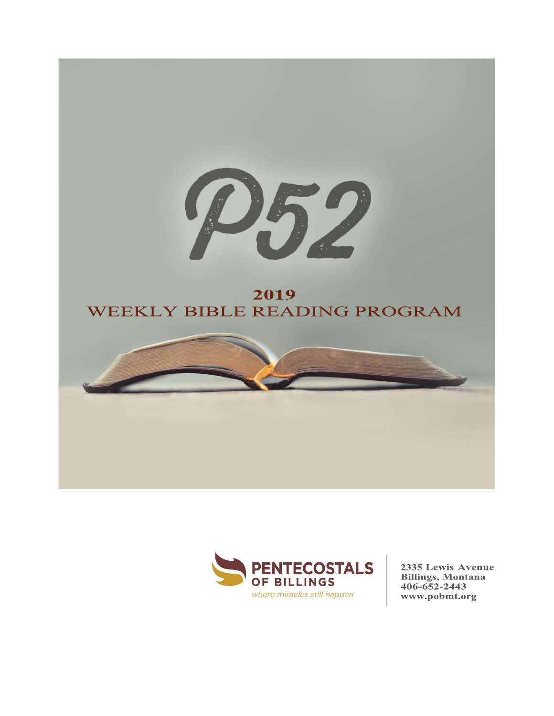



2335 Lewis Avenue **Billings, Montana**  $406 - 652 - 2443$ www.pobmt.org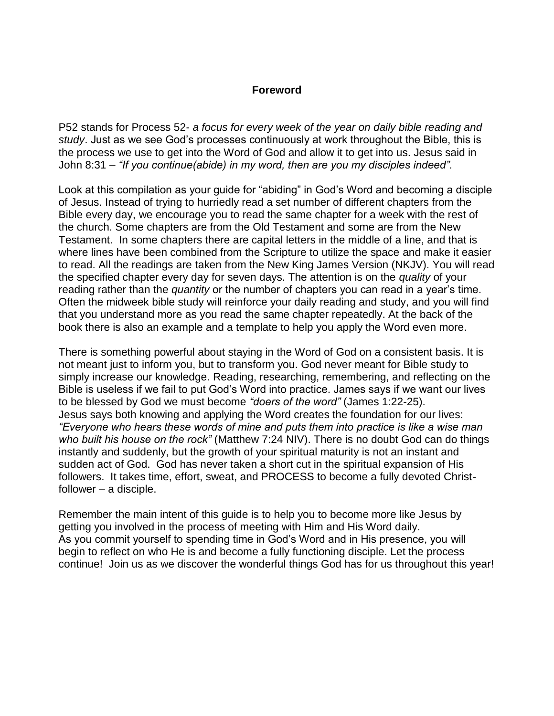### **Foreword**

P52 stands for Process 52- *a focus for every week of the year on daily bible reading and study*. Just as we see God's processes continuously at work throughout the Bible, this is the process we use to get into the Word of God and allow it to get into us. Jesus said in John 8:31 – *"If you continue(abide) in my word, then are you my disciples indeed".*

Look at this compilation as your guide for "abiding" in God's Word and becoming a disciple of Jesus. Instead of trying to hurriedly read a set number of different chapters from the Bible every day, we encourage you to read the same chapter for a week with the rest of the church. Some chapters are from the Old Testament and some are from the New Testament. In some chapters there are capital letters in the middle of a line, and that is where lines have been combined from the Scripture to utilize the space and make it easier to read. All the readings are taken from the New King James Version (NKJV). You will read the specified chapter every day for seven days. The attention is on the *quality* of your reading rather than the *quantity* or the number of chapters you can read in a year's time. Often the midweek bible study will reinforce your daily reading and study, and you will find that you understand more as you read the same chapter repeatedly. At the back of the book there is also an example and a template to help you apply the Word even more.

There is something powerful about staying in the Word of God on a consistent basis. It is not meant just to inform you, but to transform you. God never meant for Bible study to simply increase our knowledge. Reading, researching, remembering, and reflecting on the Bible is useless if we fail to put God's Word into practice. James says if we want our lives to be blessed by God we must become *"doers of the word"* (James 1:22-25). Jesus says both knowing and applying the Word creates the foundation for our lives: *"Everyone who hears these words of mine and puts them into practice is like a wise man who built his house on the rock"* (Matthew 7:24 NIV). There is no doubt God can do things instantly and suddenly, but the growth of your spiritual maturity is not an instant and sudden act of God. God has never taken a short cut in the spiritual expansion of His followers. It takes time, effort, sweat, and PROCESS to become a fully devoted Christfollower – a disciple.

Remember the main intent of this guide is to help you to become more like Jesus by getting you involved in the process of meeting with Him and His Word daily. As you commit yourself to spending time in God's Word and in His presence, you will begin to reflect on who He is and become a fully functioning disciple. Let the process continue! Join us as we discover the wonderful things God has for us throughout this year!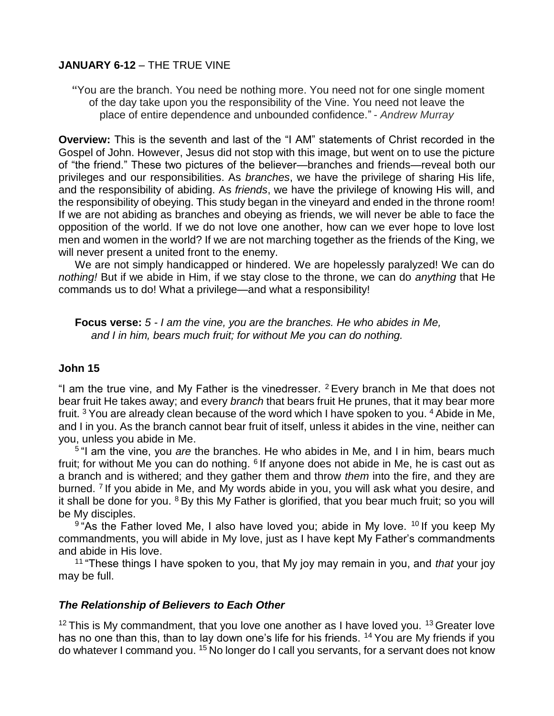### **JANUARY 6-12** – THE TRUE VINE

**"**You are the branch. You need be nothing more. You need not for one single moment of the day take upon you the responsibility of the Vine. You need not leave the place of entire dependence and unbounded confidence." - *Andrew Murray*

**Overview:** This is the seventh and last of the "I AM" statements of Christ recorded in the Gospel of John. However, Jesus did not stop with this image, but went on to use the picture of "the friend." These two pictures of the believer—branches and friends—reveal both our privileges and our responsibilities. As *branches*, we have the privilege of sharing His life, and the responsibility of abiding. As *friends*, we have the privilege of knowing His will, and the responsibility of obeying. This study began in the vineyard and ended in the throne room! If we are not abiding as branches and obeying as friends, we will never be able to face the opposition of the world. If we do not love one another, how can we ever hope to love lost men and women in the world? If we are not marching together as the friends of the King, we will never present a united front to the enemy.

We are not simply handicapped or hindered. We are hopelessly paralyzed! We can do *nothing!* But if we abide in Him, if we stay close to the throne, we can do *anything* that He commands us to do! What a privilege—and what a responsibility!

**Focus verse:** *5 - I am the vine, you are the branches. He who abides in Me, and I in him, bears much fruit; for without Me you can do nothing.*

### **John 15**

"I am the true vine, and My Father is the vinedresser. <sup>2</sup> Every branch in Me that does not bear fruit He takes away; and every *branch* that bears fruit He prunes, that it may bear more fruit.  $3$  You are already clean because of the word which I have spoken to you.  $4$  Abide in Me, and I in you. As the branch cannot bear fruit of itself, unless it abides in the vine, neither can you, unless you abide in Me.

5 "I am the vine, you *are* the branches. He who abides in Me, and I in him, bears much fruit; for without Me you can do nothing. <sup>6</sup> If anyone does not abide in Me, he is cast out as a branch and is withered; and they gather them and throw *them* into the fire, and they are burned.<sup>7</sup> If you abide in Me, and My words abide in you, you will ask what you desire, and it shall be done for you.  $8$  By this My Father is glorified, that you bear much fruit; so you will be My disciples.

<sup>9</sup> "As the Father loved Me, I also have loved you; abide in My love. <sup>10</sup> If you keep My commandments, you will abide in My love, just as I have kept My Father's commandments and abide in His love.

<sup>11</sup> "These things I have spoken to you, that My joy may remain in you, and *that* your joy may be full.

### *The Relationship of Believers to Each Other*

 $12$  This is My commandment, that you love one another as I have loved you.  $13$  Greater love has no one than this, than to lay down one's life for his friends. <sup>14</sup> You are My friends if you do whatever I command you. <sup>15</sup> No longer do I call you servants, for a servant does not know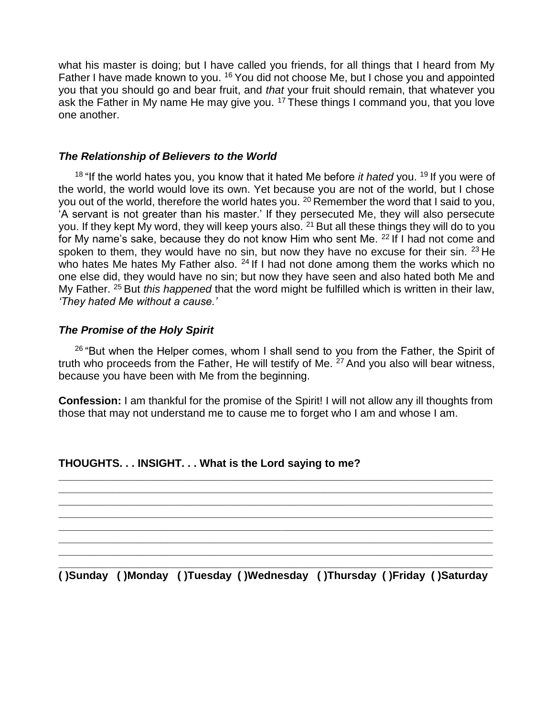what his master is doing; but I have called you friends, for all things that I heard from My Father I have made known to you. <sup>16</sup> You did not choose Me, but I chose you and appointed you that you should go and bear fruit, and *that* your fruit should remain, that whatever you ask the Father in My name He may give you.  $17$  These things I command you, that you love one another.

#### *The Relationship of Believers to the World*

<sup>18</sup> "If the world hates you, you know that it hated Me before *it hated* you. <sup>19</sup> If you were of the world, the world would love its own. Yet because you are not of the world, but I chose you out of the world, therefore the world hates you. <sup>20</sup> Remember the word that I said to you, 'A servant is not greater than his master.' If they persecuted Me, they will also persecute you. If they kept My word, they will keep yours also.  $2<sup>1</sup>$  But all these things they will do to you for My name's sake, because they do not know Him who sent Me. <sup>22</sup> If I had not come and spoken to them, they would have no sin, but now they have no excuse for their sin.  $23$  He who hates Me hates My Father also.  $24$  If I had not done among them the works which no one else did, they would have no sin; but now they have seen and also hated both Me and My Father. <sup>25</sup> But *this happened* that the word might be fulfilled which is written in their law, *'They hated Me without a cause.'*

### *The Promise of the Holy Spirit*

 $26$  "But when the Helper comes, whom I shall send to you from the Father, the Spirit of truth who proceeds from the Father, He will testify of Me.  $27$  And you also will bear witness, because you have been with Me from the beginning.

**Confession:** I am thankful for the promise of the Spirit! I will not allow any ill thoughts from those that may not understand me to cause me to forget who I am and whose I am.

**\_\_\_\_\_\_\_\_\_\_\_\_\_\_\_\_\_\_\_\_\_\_\_\_\_\_\_\_\_\_\_\_\_\_\_\_\_\_\_\_\_\_\_\_\_\_\_\_\_\_\_\_\_\_\_\_\_\_\_\_\_\_\_\_\_\_\_\_\_\_\_\_ \_\_\_\_\_\_\_\_\_\_\_\_\_\_\_\_\_\_\_\_\_\_\_\_\_\_\_\_\_\_\_\_\_\_\_\_\_\_\_\_\_\_\_\_\_\_\_\_\_\_\_\_\_\_\_\_\_\_\_\_\_\_\_\_\_\_\_\_\_\_\_\_ \_\_\_\_\_\_\_\_\_\_\_\_\_\_\_\_\_\_\_\_\_\_\_\_\_\_\_\_\_\_\_\_\_\_\_\_\_\_\_\_\_\_\_\_\_\_\_\_\_\_\_\_\_\_\_\_\_\_\_\_\_\_\_\_\_\_\_\_\_\_\_\_ \_\_\_\_\_\_\_\_\_\_\_\_\_\_\_\_\_\_\_\_\_\_\_\_\_\_\_\_\_\_\_\_\_\_\_\_\_\_\_\_\_\_\_\_\_\_\_\_\_\_\_\_\_\_\_\_\_\_\_\_\_\_\_\_\_\_\_\_\_\_\_\_ \_\_\_\_\_\_\_\_\_\_\_\_\_\_\_\_\_\_\_\_\_\_\_\_\_\_\_\_\_\_\_\_\_\_\_\_\_\_\_\_\_\_\_\_\_\_\_\_\_\_\_\_\_\_\_\_\_\_\_\_\_\_\_\_\_\_\_\_\_\_\_\_ \_\_\_\_\_\_\_\_\_\_\_\_\_\_\_\_\_\_\_\_\_\_\_\_\_\_\_\_\_\_\_\_\_\_\_\_\_\_\_\_\_\_\_\_\_\_\_\_\_\_\_\_\_\_\_\_\_\_\_\_\_\_\_\_\_\_\_\_\_\_\_\_ \_\_\_\_\_\_\_\_\_\_\_\_\_\_\_\_\_\_\_\_\_\_\_\_\_\_\_\_\_\_\_\_\_\_\_\_\_\_\_\_\_\_\_\_\_\_\_\_\_\_\_\_\_\_\_\_\_\_\_\_\_\_\_\_\_\_\_\_\_\_\_\_** 

### **THOUGHTS. . . INSIGHT. . . What is the Lord saying to me?**

**\_\_\_\_\_\_\_\_\_\_\_\_\_\_\_\_\_\_\_\_\_\_\_\_\_\_\_\_\_\_\_\_\_\_\_\_\_\_\_\_\_\_\_\_\_\_\_\_\_\_\_\_\_\_\_\_\_\_\_\_\_\_\_\_\_\_\_\_\_\_\_\_ ( )Sunday ( )Monday ( )Tuesday ( )Wednesday ( )Thursday ( )Friday ( )Saturday**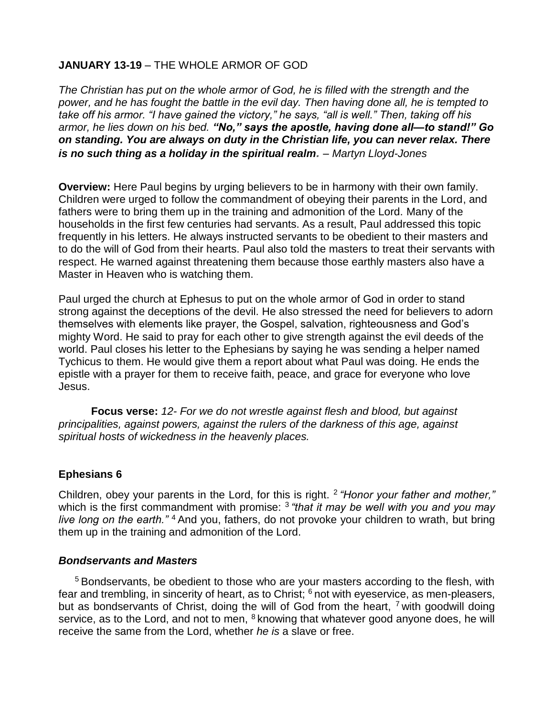### **JANUARY 13-19** – THE WHOLE ARMOR OF GOD

*The Christian has put on the whole armor of God, he is filled with the strength and the power, and he has fought the battle in the evil day. Then having done all, he is tempted to take off his armor. "I have gained the victory," he says, "all is well." Then, taking off his armor, he lies down on his bed. "No," says the apostle, having done all—to stand!" Go on standing. You are always on duty in the Christian life, you can never relax. There is no such thing as a holiday in the spiritual realm. – Martyn Lloyd-Jones*

**Overview:** Here Paul begins by urging believers to be in harmony with their own family. Children were urged to follow the commandment of obeying their parents in the Lord, and fathers were to bring them up in the training and admonition of the Lord. Many of the households in the first few centuries had servants. As a result, Paul addressed this topic frequently in his letters. He always instructed servants to be obedient to their masters and to do the will of God from their hearts. Paul also told the masters to treat their servants with respect. He warned against threatening them because those earthly masters also have a Master in Heaven who is watching them.

Paul urged the church at Ephesus to put on the whole armor of God in order to stand strong against the deceptions of the devil. He also stressed the need for believers to adorn themselves with elements like prayer, the Gospel, salvation, righteousness and God's mighty Word. He said to pray for each other to give strength against the evil deeds of the world. Paul closes his letter to the Ephesians by saying he was sending a helper named Tychicus to them. He would give them a report about what Paul was doing. He ends the epistle with a prayer for them to receive faith, peace, and grace for everyone who love Jesus.

**Focus verse:** *12- For we do not wrestle against flesh and blood, but against principalities, against powers, against the rulers of the darkness of this age, against spiritual hosts of wickedness in the heavenly places.*

### **Ephesians 6**

Children, obey your parents in the Lord, for this is right. <sup>2</sup> *"Honor your father and mother,"* which is the first commandment with promise: <sup>3</sup> *"that it may be well with you and you may live long on the earth."* <sup>4</sup> And you, fathers, do not provoke your children to wrath, but bring them up in the training and admonition of the Lord.

### *Bondservants and Masters*

<sup>5</sup> Bondservants, be obedient to those who are your masters according to the flesh, with fear and trembling, in sincerity of heart, as to Christ;  $6$  not with eyeservice, as men-pleasers, but as bondservants of Christ, doing the will of God from the heart,  $^7$  with goodwill doing service, as to the Lord, and not to men,  $8$  knowing that whatever good anyone does, he will receive the same from the Lord, whether *he is* a slave or free.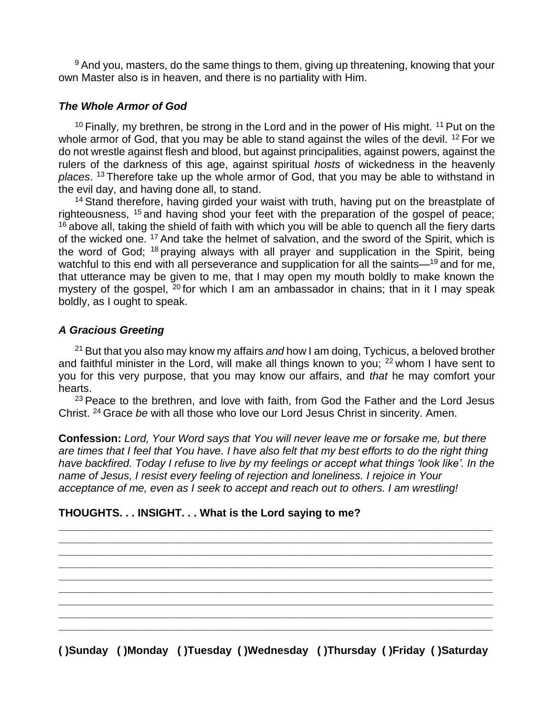<sup>9</sup> And you, masters, do the same things to them, giving up threatening, knowing that your own Master also is in heaven, and there is no partiality with Him.

### *The Whole Armor of God*

 $10$  Finally, my brethren, be strong in the Lord and in the power of His might.  $11$  Put on the whole armor of God, that you may be able to stand against the wiles of the devil. <sup>12</sup> For we do not wrestle against flesh and blood, but against principalities, against powers, against the rulers of the darkness of this age, against spiritual *hosts* of wickedness in the heavenly *places*. <sup>13</sup> Therefore take up the whole armor of God, that you may be able to withstand in the evil day, and having done all, to stand.

<sup>14</sup> Stand therefore, having girded your waist with truth, having put on the breastplate of righteousness, <sup>15</sup> and having shod your feet with the preparation of the gospel of peace; <sup>16</sup> above all, taking the shield of faith with which you will be able to quench all the fiery darts of the wicked one. <sup>17</sup> And take the helmet of salvation, and the sword of the Spirit, which is the word of God; <sup>18</sup> praying always with all prayer and supplication in the Spirit, being watchful to this end with all perseverance and supplication for all the saints—<sup>19</sup> and for me, that utterance may be given to me, that I may open my mouth boldly to make known the mystery of the gospel,  $20$  for which I am an ambassador in chains; that in it I may speak boldly, as I ought to speak.

### *A Gracious Greeting*

<sup>21</sup> But that you also may know my affairs *and* how I am doing, Tychicus, a beloved brother and faithful minister in the Lord, will make all things known to you; <sup>22</sup> whom I have sent to you for this very purpose, that you may know our affairs, and *that* he may comfort your hearts.

<sup>23</sup> Peace to the brethren, and love with faith, from God the Father and the Lord Jesus Christ. <sup>24</sup> Grace *be* with all those who love our Lord Jesus Christ in sincerity. Amen.

**Confession:** *Lord, Your Word says that You will never leave me or forsake me, but there are times that I feel that You have. I have also felt that my best efforts to do the right thing have backfired. Today I refuse to live by my feelings or accept what things 'look like'. In the name of Jesus, I resist every feeling of rejection and loneliness. I rejoice in Your acceptance of me, even as I seek to accept and reach out to others. I am wrestling!*

**\_\_\_\_\_\_\_\_\_\_\_\_\_\_\_\_\_\_\_\_\_\_\_\_\_\_\_\_\_\_\_\_\_\_\_\_\_\_\_\_\_\_\_\_\_\_\_\_\_\_\_\_\_\_\_\_\_\_\_\_\_\_\_\_\_\_\_\_\_\_\_\_ \_\_\_\_\_\_\_\_\_\_\_\_\_\_\_\_\_\_\_\_\_\_\_\_\_\_\_\_\_\_\_\_\_\_\_\_\_\_\_\_\_\_\_\_\_\_\_\_\_\_\_\_\_\_\_\_\_\_\_\_\_\_\_\_\_\_\_\_\_\_\_\_ \_\_\_\_\_\_\_\_\_\_\_\_\_\_\_\_\_\_\_\_\_\_\_\_\_\_\_\_\_\_\_\_\_\_\_\_\_\_\_\_\_\_\_\_\_\_\_\_\_\_\_\_\_\_\_\_\_\_\_\_\_\_\_\_\_\_\_\_\_\_\_\_ \_\_\_\_\_\_\_\_\_\_\_\_\_\_\_\_\_\_\_\_\_\_\_\_\_\_\_\_\_\_\_\_\_\_\_\_\_\_\_\_\_\_\_\_\_\_\_\_\_\_\_\_\_\_\_\_\_\_\_\_\_\_\_\_\_\_\_\_\_\_\_\_ \_\_\_\_\_\_\_\_\_\_\_\_\_\_\_\_\_\_\_\_\_\_\_\_\_\_\_\_\_\_\_\_\_\_\_\_\_\_\_\_\_\_\_\_\_\_\_\_\_\_\_\_\_\_\_\_\_\_\_\_\_\_\_\_\_\_\_\_\_\_\_\_ \_\_\_\_\_\_\_\_\_\_\_\_\_\_\_\_\_\_\_\_\_\_\_\_\_\_\_\_\_\_\_\_\_\_\_\_\_\_\_\_\_\_\_\_\_\_\_\_\_\_\_\_\_\_\_\_\_\_\_\_\_\_\_\_\_\_\_\_\_\_\_\_ \_\_\_\_\_\_\_\_\_\_\_\_\_\_\_\_\_\_\_\_\_\_\_\_\_\_\_\_\_\_\_\_\_\_\_\_\_\_\_\_\_\_\_\_\_\_\_\_\_\_\_\_\_\_\_\_\_\_\_\_\_\_\_\_\_\_\_\_\_\_\_\_ \_\_\_\_\_\_\_\_\_\_\_\_\_\_\_\_\_\_\_\_\_\_\_\_\_\_\_\_\_\_\_\_\_\_\_\_\_\_\_\_\_\_\_\_\_\_\_\_\_\_\_\_\_\_\_\_\_\_\_\_\_\_\_\_\_\_\_\_\_\_\_\_ \_\_\_\_\_\_\_\_\_\_\_\_\_\_\_\_\_\_\_\_\_\_\_\_\_\_\_\_\_\_\_\_\_\_\_\_\_\_\_\_\_\_\_\_\_\_\_\_\_\_\_\_\_\_\_\_\_\_\_\_\_\_\_\_\_\_\_\_\_\_\_\_** 

### **THOUGHTS. . . INSIGHT. . . What is the Lord saying to me?**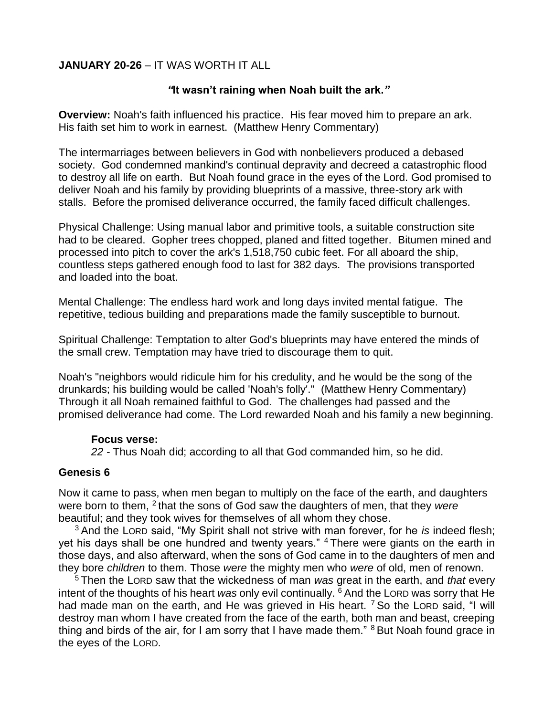### **JANUARY 20-26** – IT WAS WORTH IT ALL

#### *"***It wasn't raining when Noah built the ark.***"*

**Overview:** Noah's faith influenced his practice. His fear moved him to prepare an ark. His faith set him to work in earnest. (Matthew Henry Commentary)

The intermarriages between believers in God with nonbelievers produced a debased society. God condemned mankind's continual depravity and decreed a catastrophic flood to destroy all life on earth. But Noah found grace in the eyes of the Lord. God promised to deliver Noah and his family by providing blueprints of a massive, three-story ark with stalls. Before the promised deliverance occurred, the family faced difficult challenges.

Physical Challenge: Using manual labor and primitive tools, a suitable construction site had to be cleared. Gopher trees chopped, planed and fitted together. Bitumen mined and processed into pitch to cover the ark's 1,518,750 cubic feet. For all aboard the ship, countless steps gathered enough food to last for 382 days. The provisions transported and loaded into the boat.

Mental Challenge: The endless hard work and long days invited mental fatigue. The repetitive, tedious building and preparations made the family susceptible to burnout.

Spiritual Challenge: Temptation to alter God's blueprints may have entered the minds of the small crew. Temptation may have tried to discourage them to quit.

Noah's "neighbors would ridicule him for his credulity, and he would be the song of the drunkards; his building would be called 'Noah's folly'." (Matthew Henry Commentary) Through it all Noah remained faithful to God. The challenges had passed and the promised deliverance had come. The Lord rewarded Noah and his family a new beginning.

#### **Focus verse:**

*22 -* Thus Noah did; according to all that God commanded him, so he did.

### **Genesis 6**

Now it came to pass, when men began to multiply on the face of the earth, and daughters were born to them, <sup>2</sup> that the sons of God saw the daughters of men, that they *were* beautiful; and they took wives for themselves of all whom they chose.

<sup>3</sup> And the LORD said, "My Spirit shall not strive with man forever, for he *is* indeed flesh; yet his days shall be one hundred and twenty years." <sup>4</sup> There were giants on the earth in those days, and also afterward, when the sons of God came in to the daughters of men and they bore *children* to them. Those *were* the mighty men who *were* of old, men of renown.

<sup>5</sup> Then the LORD saw that the wickedness of man *was* great in the earth, and *that* every intent of the thoughts of his heart *was* only evil continually. <sup>6</sup> And the LORD was sorry that He had made man on the earth, and He was grieved in His heart. <sup>7</sup> So the LORD said, "I will destroy man whom I have created from the face of the earth, both man and beast, creeping thing and birds of the air, for I am sorry that I have made them." <sup>8</sup> But Noah found grace in the eyes of the LORD.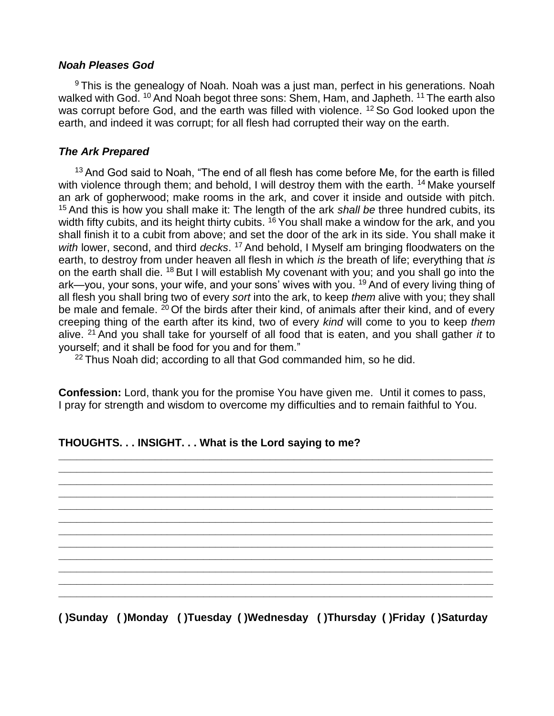#### *Noah Pleases God*

<sup>9</sup> This is the genealogy of Noah. Noah was a just man, perfect in his generations. Noah walked with God. <sup>10</sup> And Noah begot three sons: Shem, Ham, and Japheth. <sup>11</sup> The earth also was corrupt before God, and the earth was filled with violence. <sup>12</sup> So God looked upon the earth, and indeed it was corrupt; for all flesh had corrupted their way on the earth.

### *The Ark Prepared*

<sup>13</sup> And God said to Noah, "The end of all flesh has come before Me, for the earth is filled with violence through them; and behold, I will destroy them with the earth. <sup>14</sup> Make yourself an ark of gopherwood; make rooms in the ark, and cover it inside and outside with pitch. <sup>15</sup> And this is how you shall make it: The length of the ark *shall be* three hundred cubits, its width fifty cubits, and its height thirty cubits.  $16$  You shall make a window for the ark, and you shall finish it to a cubit from above; and set the door of the ark in its side. You shall make it with lower, second, and third *decks*. <sup>17</sup> And behold, I Myself am bringing floodwaters on the earth, to destroy from under heaven all flesh in which *is* the breath of life; everything that *is* on the earth shall die. <sup>18</sup> But I will establish My covenant with you; and you shall go into the ark—you, your sons, your wife, and your sons' wives with you. <sup>19</sup> And of every living thing of all flesh you shall bring two of every *sort* into the ark, to keep *them* alive with you; they shall be male and female.  $20$  Of the birds after their kind, of animals after their kind, and of every creeping thing of the earth after its kind, two of every *kind* will come to you to keep *them* alive. <sup>21</sup> And you shall take for yourself of all food that is eaten, and you shall gather *it* to yourself; and it shall be food for you and for them."

 $22$  Thus Noah did; according to all that God commanded him, so he did.

**Confession:** Lord, thank you for the promise You have given me. Until it comes to pass, I pray for strength and wisdom to overcome my difficulties and to remain faithful to You.

**\_\_\_\_\_\_\_\_\_\_\_\_\_\_\_\_\_\_\_\_\_\_\_\_\_\_\_\_\_\_\_\_\_\_\_\_\_\_\_\_\_\_\_\_\_\_\_\_\_\_\_\_\_\_\_\_\_\_\_\_\_\_\_\_\_\_\_\_\_\_\_\_ \_\_\_\_\_\_\_\_\_\_\_\_\_\_\_\_\_\_\_\_\_\_\_\_\_\_\_\_\_\_\_\_\_\_\_\_\_\_\_\_\_\_\_\_\_\_\_\_\_\_\_\_\_\_\_\_\_\_\_\_\_\_\_\_\_\_\_\_\_\_\_\_ \_\_\_\_\_\_\_\_\_\_\_\_\_\_\_\_\_\_\_\_\_\_\_\_\_\_\_\_\_\_\_\_\_\_\_\_\_\_\_\_\_\_\_\_\_\_\_\_\_\_\_\_\_\_\_\_\_\_\_\_\_\_\_\_\_\_\_\_\_\_\_\_ \_\_\_\_\_\_\_\_\_\_\_\_\_\_\_\_\_\_\_\_\_\_\_\_\_\_\_\_\_\_\_\_\_\_\_\_\_\_\_\_\_\_\_\_\_\_\_\_\_\_\_\_\_\_\_\_\_\_\_\_\_\_\_\_\_\_\_\_\_\_\_\_ \_\_\_\_\_\_\_\_\_\_\_\_\_\_\_\_\_\_\_\_\_\_\_\_\_\_\_\_\_\_\_\_\_\_\_\_\_\_\_\_\_\_\_\_\_\_\_\_\_\_\_\_\_\_\_\_\_\_\_\_\_\_\_\_\_\_\_\_\_\_\_\_ \_\_\_\_\_\_\_\_\_\_\_\_\_\_\_\_\_\_\_\_\_\_\_\_\_\_\_\_\_\_\_\_\_\_\_\_\_\_\_\_\_\_\_\_\_\_\_\_\_\_\_\_\_\_\_\_\_\_\_\_\_\_\_\_\_\_\_\_\_\_\_\_ \_\_\_\_\_\_\_\_\_\_\_\_\_\_\_\_\_\_\_\_\_\_\_\_\_\_\_\_\_\_\_\_\_\_\_\_\_\_\_\_\_\_\_\_\_\_\_\_\_\_\_\_\_\_\_\_\_\_\_\_\_\_\_\_\_\_\_\_\_\_\_\_ \_\_\_\_\_\_\_\_\_\_\_\_\_\_\_\_\_\_\_\_\_\_\_\_\_\_\_\_\_\_\_\_\_\_\_\_\_\_\_\_\_\_\_\_\_\_\_\_\_\_\_\_\_\_\_\_\_\_\_\_\_\_\_\_\_\_\_\_\_\_\_\_ \_\_\_\_\_\_\_\_\_\_\_\_\_\_\_\_\_\_\_\_\_\_\_\_\_\_\_\_\_\_\_\_\_\_\_\_\_\_\_\_\_\_\_\_\_\_\_\_\_\_\_\_\_\_\_\_\_\_\_\_\_\_\_\_\_\_\_\_\_\_\_\_ \_\_\_\_\_\_\_\_\_\_\_\_\_\_\_\_\_\_\_\_\_\_\_\_\_\_\_\_\_\_\_\_\_\_\_\_\_\_\_\_\_\_\_\_\_\_\_\_\_\_\_\_\_\_\_\_\_\_\_\_\_\_\_\_\_\_\_\_\_\_\_\_ \_\_\_\_\_\_\_\_\_\_\_\_\_\_\_\_\_\_\_\_\_\_\_\_\_\_\_\_\_\_\_\_\_\_\_\_\_\_\_\_\_\_\_\_\_\_\_\_\_\_\_\_\_\_\_\_\_\_\_\_\_\_\_\_\_\_\_\_\_\_\_\_ \_\_\_\_\_\_\_\_\_\_\_\_\_\_\_\_\_\_\_\_\_\_\_\_\_\_\_\_\_\_\_\_\_\_\_\_\_\_\_\_\_\_\_\_\_\_\_\_\_\_\_\_\_\_\_\_\_\_\_\_\_\_\_\_\_\_\_\_\_\_\_\_**

### **THOUGHTS. . . INSIGHT. . . What is the Lord saying to me?**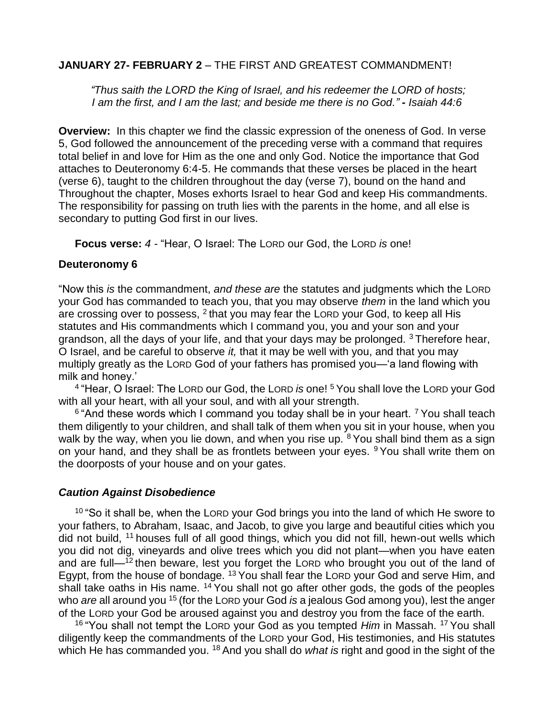### **JANUARY 27- FEBRUARY 2** – THE FIRST AND GREATEST COMMANDMENT!

*"Thus saith the LORD the King of Israel, and his redeemer the LORD of hosts; I am the first, and I am the last; and beside me there is no God." - Isaiah 44:6*

**Overview:** In this chapter we find the classic expression of the oneness of God. In verse 5, God followed the announcement of the preceding verse with a command that requires total belief in and love for Him as the one and only God. Notice the importance that God attaches to Deuteronomy 6:4-5. He commands that these verses be placed in the heart (verse 6), taught to the children throughout the day (verse 7), bound on the hand and Throughout the chapter, Moses exhorts Israel to hear God and keep His commandments. The responsibility for passing on truth lies with the parents in the home, and all else is secondary to putting God first in our lives.

**Focus verse:** *4 -* "Hear, O Israel: The LORD our God, the LORD *is* one!

#### **Deuteronomy 6**

"Now this *is* the commandment, *and these are* the statutes and judgments which the LORD your God has commanded to teach you, that you may observe *them* in the land which you are crossing over to possess,  $2$  that you may fear the LORD your God, to keep all His statutes and His commandments which I command you, you and your son and your grandson, all the days of your life, and that your days may be prolonged.  $3$  Therefore hear, O Israel, and be careful to observe *it,* that it may be well with you, and that you may multiply greatly as the LORD God of your fathers has promised you—'a land flowing with milk and honey.'

4 "Hear, O Israel: The LORD our God, the LORD *is* one! <sup>5</sup> You shall love the LORD your God with all your heart, with all your soul, and with all your strength.

<sup>6</sup> "And these words which I command you today shall be in your heart. <sup>7</sup> You shall teach them diligently to your children, and shall talk of them when you sit in your house, when you walk by the way, when you lie down, and when you rise up. <sup>8</sup> You shall bind them as a sign on your hand, and they shall be as frontlets between your eyes. <sup>9</sup> You shall write them on the doorposts of your house and on your gates.

### *Caution Against Disobedience*

 $10$  "So it shall be, when the LORD your God brings you into the land of which He swore to your fathers, to Abraham, Isaac, and Jacob, to give you large and beautiful cities which you did not build, <sup>11</sup> houses full of all good things, which you did not fill, hewn-out wells which you did not dig, vineyards and olive trees which you did not plant—when you have eaten and are full— $<sup>12</sup>$  then beware, lest you forget the LORD who brought you out of the land of</sup> Egypt, from the house of bondage. <sup>13</sup> You shall fear the LORD your God and serve Him, and shall take oaths in His name.  $14$  You shall not go after other gods, the gods of the peoples who *are* all around you <sup>15</sup> (for the LORD your God *is* a jealous God among you), lest the anger of the LORD your God be aroused against you and destroy you from the face of the earth.

<sup>16</sup> "You shall not tempt the LORD your God as you tempted *Him* in Massah. <sup>17</sup> You shall diligently keep the commandments of the LORD your God, His testimonies, and His statutes which He has commanded you. <sup>18</sup> And you shall do *what is* right and good in the sight of the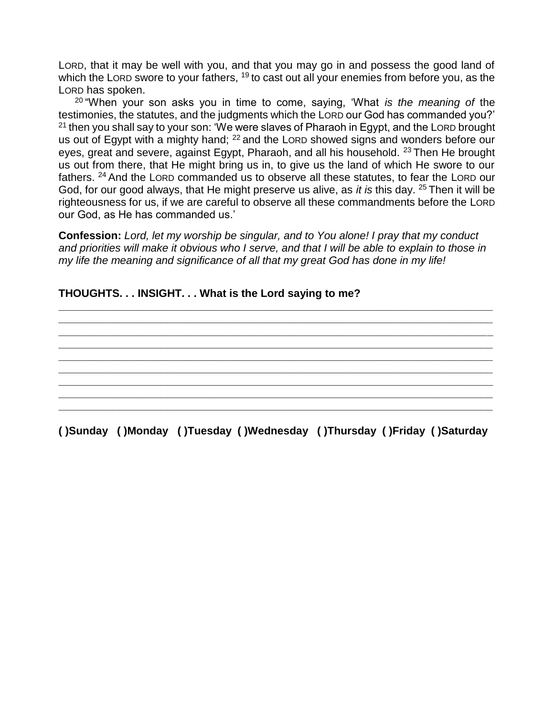LORD, that it may be well with you, and that you may go in and possess the good land of which the LORD swore to your fathers,  $19$  to cast out all your enemies from before you, as the LORD has spoken.

<sup>20</sup> "When your son asks you in time to come, saying, 'What *is the meaning of* the testimonies, the statutes, and the judgments which the LORD our God has commanded you?'  $21$  then you shall say to your son: 'We were slaves of Pharaoh in Egypt, and the LORD brought us out of Egypt with a mighty hand; <sup>22</sup> and the LORD showed signs and wonders before our eyes, great and severe, against Egypt, Pharaoh, and all his household. <sup>23</sup> Then He brought us out from there, that He might bring us in, to give us the land of which He swore to our fathers. <sup>24</sup> And the LORD commanded us to observe all these statutes, to fear the LORD our God, for our good always, that He might preserve us alive, as *it is* this day. <sup>25</sup> Then it will be righteousness for us, if we are careful to observe all these commandments before the LORD our God, as He has commanded us.'

**Confession:** *Lord, let my worship be singular, and to You alone! I pray that my conduct and priorities will make it obvious who I serve, and that I will be able to explain to those in my life the meaning and significance of all that my great God has done in my life!*

**\_\_\_\_\_\_\_\_\_\_\_\_\_\_\_\_\_\_\_\_\_\_\_\_\_\_\_\_\_\_\_\_\_\_\_\_\_\_\_\_\_\_\_\_\_\_\_\_\_\_\_\_\_\_\_\_\_\_\_\_\_\_\_\_\_\_\_\_\_\_\_\_ \_\_\_\_\_\_\_\_\_\_\_\_\_\_\_\_\_\_\_\_\_\_\_\_\_\_\_\_\_\_\_\_\_\_\_\_\_\_\_\_\_\_\_\_\_\_\_\_\_\_\_\_\_\_\_\_\_\_\_\_\_\_\_\_\_\_\_\_\_\_\_\_ \_\_\_\_\_\_\_\_\_\_\_\_\_\_\_\_\_\_\_\_\_\_\_\_\_\_\_\_\_\_\_\_\_\_\_\_\_\_\_\_\_\_\_\_\_\_\_\_\_\_\_\_\_\_\_\_\_\_\_\_\_\_\_\_\_\_\_\_\_\_\_\_ \_\_\_\_\_\_\_\_\_\_\_\_\_\_\_\_\_\_\_\_\_\_\_\_\_\_\_\_\_\_\_\_\_\_\_\_\_\_\_\_\_\_\_\_\_\_\_\_\_\_\_\_\_\_\_\_\_\_\_\_\_\_\_\_\_\_\_\_\_\_\_\_ \_\_\_\_\_\_\_\_\_\_\_\_\_\_\_\_\_\_\_\_\_\_\_\_\_\_\_\_\_\_\_\_\_\_\_\_\_\_\_\_\_\_\_\_\_\_\_\_\_\_\_\_\_\_\_\_\_\_\_\_\_\_\_\_\_\_\_\_\_\_\_\_ \_\_\_\_\_\_\_\_\_\_\_\_\_\_\_\_\_\_\_\_\_\_\_\_\_\_\_\_\_\_\_\_\_\_\_\_\_\_\_\_\_\_\_\_\_\_\_\_\_\_\_\_\_\_\_\_\_\_\_\_\_\_\_\_\_\_\_\_\_\_\_\_ \_\_\_\_\_\_\_\_\_\_\_\_\_\_\_\_\_\_\_\_\_\_\_\_\_\_\_\_\_\_\_\_\_\_\_\_\_\_\_\_\_\_\_\_\_\_\_\_\_\_\_\_\_\_\_\_\_\_\_\_\_\_\_\_\_\_\_\_\_\_\_\_ \_\_\_\_\_\_\_\_\_\_\_\_\_\_\_\_\_\_\_\_\_\_\_\_\_\_\_\_\_\_\_\_\_\_\_\_\_\_\_\_\_\_\_\_\_\_\_\_\_\_\_\_\_\_\_\_\_\_\_\_\_\_\_\_\_\_\_\_\_\_\_\_ \_\_\_\_\_\_\_\_\_\_\_\_\_\_\_\_\_\_\_\_\_\_\_\_\_\_\_\_\_\_\_\_\_\_\_\_\_\_\_\_\_\_\_\_\_\_\_\_\_\_\_\_\_\_\_\_\_\_\_\_\_\_\_\_\_\_\_\_\_\_\_\_**

### **THOUGHTS. . . INSIGHT. . . What is the Lord saying to me?**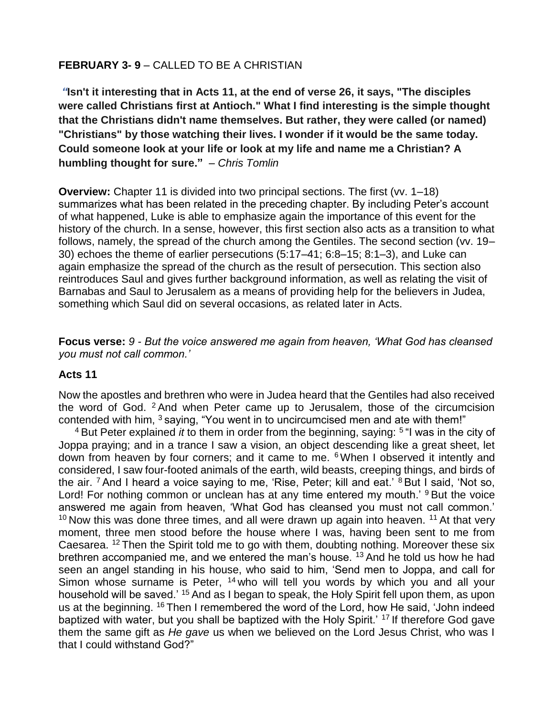### **FEBRUARY 3- 9** – CALLED TO BE A CHRISTIAN

*"***Isn't it interesting that in Acts 11, at the end of verse 26, it says, "The disciples were called Christians first at Antioch." What I find interesting is the simple thought that the Christians didn't name themselves. But rather, they were called (or named) "Christians" by those watching their lives. I wonder if it would be the same today. Could someone look at your life or look at my life and name me a Christian? A humbling thought for sure."** *– Chris Tomlin*

**Overview:** Chapter 11 is divided into two principal sections. The first (vv. 1–18) summarizes what has been related in the preceding chapter. By including Peter's account of what happened, Luke is able to emphasize again the importance of this event for the history of the church. In a sense, however, this first section also acts as a transition to what follows, namely, the spread of the church among the Gentiles. The second section (vv. 19– 30) echoes the theme of earlier persecutions (5:17–41; 6:8–15; 8:1–3), and Luke can again emphasize the spread of the church as the result of persecution. This section also reintroduces Saul and gives further background information, as well as relating the visit of Barnabas and Saul to Jerusalem as a means of providing help for the believers in Judea, something which Saul did on several occasions, as related later in Acts.

**Focus verse:** *9 - But the voice answered me again from heaven, 'What God has cleansed you must not call common.'*

### **Acts 11**

Now the apostles and brethren who were in Judea heard that the Gentiles had also received the word of God. <sup>2</sup> And when Peter came up to Jerusalem, those of the circumcision contended with him,  $3$  saying, "You went in to uncircumcised men and ate with them!"

<sup>4</sup> But Peter explained *it* to them in order from the beginning, saying: <sup>5 "</sup>I was in the city of Joppa praying; and in a trance I saw a vision, an object descending like a great sheet, let down from heaven by four corners; and it came to me. <sup>6</sup> When I observed it intently and considered, I saw four-footed animals of the earth, wild beasts, creeping things, and birds of the air. <sup>7</sup> And I heard a voice saying to me, 'Rise, Peter; kill and eat.' <sup>8</sup> But I said, 'Not so, Lord! For nothing common or unclean has at any time entered my mouth.' <sup>9</sup> But the voice answered me again from heaven, 'What God has cleansed you must not call common.'  $10$  Now this was done three times, and all were drawn up again into heaven.  $11$  At that very moment, three men stood before the house where I was, having been sent to me from Caesarea. <sup>12</sup> Then the Spirit told me to go with them, doubting nothing. Moreover these six brethren accompanied me, and we entered the man's house. <sup>13</sup> And he told us how he had seen an angel standing in his house, who said to him, 'Send men to Joppa, and call for Simon whose surname is Peter,  $14$  who will tell you words by which you and all your household will be saved.<sup>' 15</sup> And as I began to speak, the Holy Spirit fell upon them, as upon us at the beginning. <sup>16</sup> Then I remembered the word of the Lord, how He said, 'John indeed baptized with water, but you shall be baptized with the Holy Spirit.' <sup>17</sup> If therefore God gave them the same gift as *He gave* us when we believed on the Lord Jesus Christ, who was I that I could withstand God?"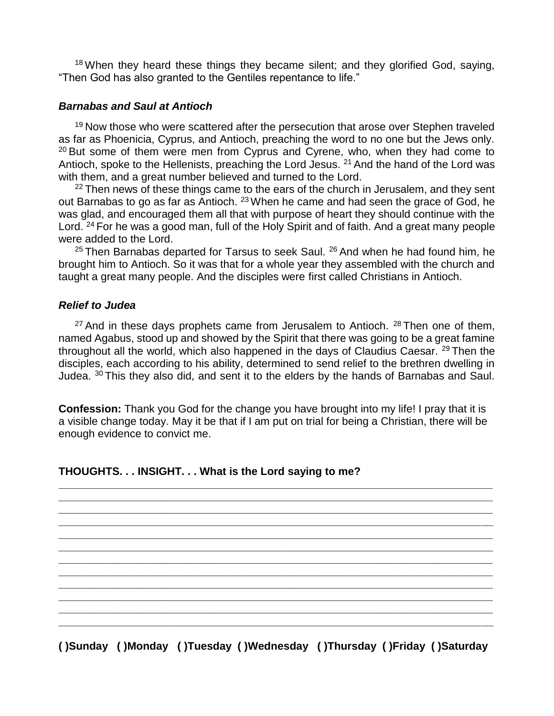<sup>18</sup> When they heard these things they became silent; and they glorified God, saying, "Then God has also granted to the Gentiles repentance to life."

### *Barnabas and Saul at Antioch*

<sup>19</sup> Now those who were scattered after the persecution that arose over Stephen traveled as far as Phoenicia, Cyprus, and Antioch, preaching the word to no one but the Jews only. <sup>20</sup> But some of them were men from Cyprus and Cyrene, who, when they had come to Antioch, spoke to the Hellenists, preaching the Lord Jesus. <sup>21</sup> And the hand of the Lord was with them, and a great number believed and turned to the Lord.

 $22$  Then news of these things came to the ears of the church in Jerusalem, and they sent out Barnabas to go as far as Antioch. <sup>23</sup> When he came and had seen the grace of God, he was glad, and encouraged them all that with purpose of heart they should continue with the Lord.<sup>24</sup> For he was a good man, full of the Holy Spirit and of faith. And a great many people were added to the Lord.

 $25$  Then Barnabas departed for Tarsus to seek Saul.  $26$  And when he had found him, he brought him to Antioch. So it was that for a whole year they assembled with the church and taught a great many people. And the disciples were first called Christians in Antioch.

### *Relief to Judea*

 $27$  And in these days prophets came from Jerusalem to Antioch.  $28$  Then one of them, named Agabus, stood up and showed by the Spirit that there was going to be a great famine throughout all the world, which also happened in the days of Claudius Caesar. <sup>29</sup> Then the disciples, each according to his ability, determined to send relief to the brethren dwelling in Judea. <sup>30</sup> This they also did, and sent it to the elders by the hands of Barnabas and Saul.

**Confession:** Thank you God for the change you have brought into my life! I pray that it is a visible change today. May it be that if I am put on trial for being a Christian, there will be enough evidence to convict me.

**\_\_\_\_\_\_\_\_\_\_\_\_\_\_\_\_\_\_\_\_\_\_\_\_\_\_\_\_\_\_\_\_\_\_\_\_\_\_\_\_\_\_\_\_\_\_\_\_\_\_\_\_\_\_\_\_\_\_\_\_\_\_\_\_\_\_\_\_\_\_\_\_ \_\_\_\_\_\_\_\_\_\_\_\_\_\_\_\_\_\_\_\_\_\_\_\_\_\_\_\_\_\_\_\_\_\_\_\_\_\_\_\_\_\_\_\_\_\_\_\_\_\_\_\_\_\_\_\_\_\_\_\_\_\_\_\_\_\_\_\_\_\_\_\_ \_\_\_\_\_\_\_\_\_\_\_\_\_\_\_\_\_\_\_\_\_\_\_\_\_\_\_\_\_\_\_\_\_\_\_\_\_\_\_\_\_\_\_\_\_\_\_\_\_\_\_\_\_\_\_\_\_\_\_\_\_\_\_\_\_\_\_\_\_\_\_\_ \_\_\_\_\_\_\_\_\_\_\_\_\_\_\_\_\_\_\_\_\_\_\_\_\_\_\_\_\_\_\_\_\_\_\_\_\_\_\_\_\_\_\_\_\_\_\_\_\_\_\_\_\_\_\_\_\_\_\_\_\_\_\_\_\_\_\_\_\_\_\_\_ \_\_\_\_\_\_\_\_\_\_\_\_\_\_\_\_\_\_\_\_\_\_\_\_\_\_\_\_\_\_\_\_\_\_\_\_\_\_\_\_\_\_\_\_\_\_\_\_\_\_\_\_\_\_\_\_\_\_\_\_\_\_\_\_\_\_\_\_\_\_\_\_ \_\_\_\_\_\_\_\_\_\_\_\_\_\_\_\_\_\_\_\_\_\_\_\_\_\_\_\_\_\_\_\_\_\_\_\_\_\_\_\_\_\_\_\_\_\_\_\_\_\_\_\_\_\_\_\_\_\_\_\_\_\_\_\_\_\_\_\_\_\_\_\_ \_\_\_\_\_\_\_\_\_\_\_\_\_\_\_\_\_\_\_\_\_\_\_\_\_\_\_\_\_\_\_\_\_\_\_\_\_\_\_\_\_\_\_\_\_\_\_\_\_\_\_\_\_\_\_\_\_\_\_\_\_\_\_\_\_\_\_\_\_\_\_\_ \_\_\_\_\_\_\_\_\_\_\_\_\_\_\_\_\_\_\_\_\_\_\_\_\_\_\_\_\_\_\_\_\_\_\_\_\_\_\_\_\_\_\_\_\_\_\_\_\_\_\_\_\_\_\_\_\_\_\_\_\_\_\_\_\_\_\_\_\_\_\_\_ \_\_\_\_\_\_\_\_\_\_\_\_\_\_\_\_\_\_\_\_\_\_\_\_\_\_\_\_\_\_\_\_\_\_\_\_\_\_\_\_\_\_\_\_\_\_\_\_\_\_\_\_\_\_\_\_\_\_\_\_\_\_\_\_\_\_\_\_\_\_\_\_ \_\_\_\_\_\_\_\_\_\_\_\_\_\_\_\_\_\_\_\_\_\_\_\_\_\_\_\_\_\_\_\_\_\_\_\_\_\_\_\_\_\_\_\_\_\_\_\_\_\_\_\_\_\_\_\_\_\_\_\_\_\_\_\_\_\_\_\_\_\_\_\_ \_\_\_\_\_\_\_\_\_\_\_\_\_\_\_\_\_\_\_\_\_\_\_\_\_\_\_\_\_\_\_\_\_\_\_\_\_\_\_\_\_\_\_\_\_\_\_\_\_\_\_\_\_\_\_\_\_\_\_\_\_\_\_\_\_\_\_\_\_\_\_\_ \_\_\_\_\_\_\_\_\_\_\_\_\_\_\_\_\_\_\_\_\_\_\_\_\_\_\_\_\_\_\_\_\_\_\_\_\_\_\_\_\_\_\_\_\_\_\_\_\_\_\_\_\_\_\_\_\_\_\_\_\_\_\_\_\_\_\_\_\_\_\_\_**

### **THOUGHTS. . . INSIGHT. . . What is the Lord saying to me?**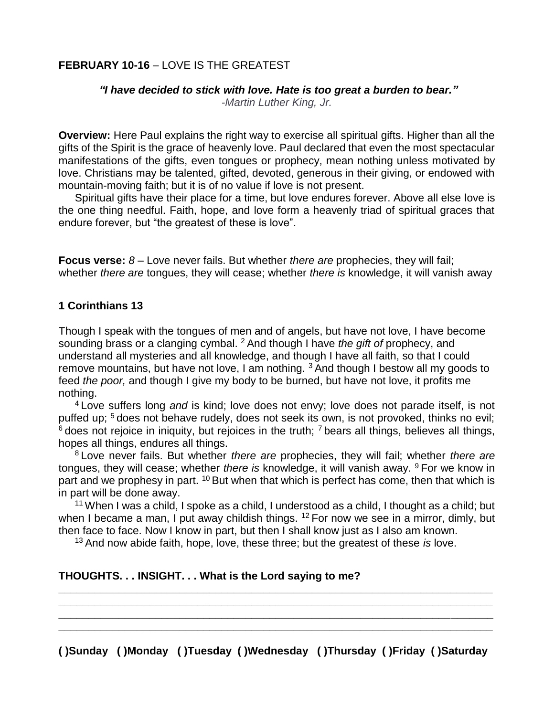### **FEBRUARY 10-16 – LOVE IS THE GREATEST**

#### *"I have decided to stick with love. Hate is too great a burden to bear."*

*-Martin Luther King, Jr.*

**Overview:** Here Paul explains the right way to exercise all spiritual gifts. Higher than all the gifts of the Spirit is the grace of heavenly love. Paul declared that even the most spectacular manifestations of the gifts, even tongues or prophecy, mean nothing unless motivated by love. Christians may be talented, gifted, devoted, generous in their giving, or endowed with mountain-moving faith; but it is of no value if love is not present.

Spiritual gifts have their place for a time, but love endures forever. Above all else love is the one thing needful. Faith, hope, and love form a heavenly triad of spiritual graces that endure forever, but "the greatest of these is love".

**Focus verse:**  $8 -$  Love never fails. But whether *there are* prophecies, they will fail; whether *there are* tongues, they will cease; whether *there is* knowledge, it will vanish away

#### **1 Corinthians 13**

Though I speak with the tongues of men and of angels, but have not love, I have become sounding brass or a clanging cymbal. <sup>2</sup> And though I have *the gift of* prophecy, and understand all mysteries and all knowledge, and though I have all faith, so that I could remove mountains, but have not love, I am nothing.  $3$  And though I bestow all my goods to feed *the poor,* and though I give my body to be burned, but have not love, it profits me nothing.

<sup>4</sup> Love suffers long *and* is kind; love does not envy; love does not parade itself, is not puffed up; <sup>5</sup> does not behave rudely, does not seek its own, is not provoked, thinks no evil;  $6$  does not rejoice in iniquity, but rejoices in the truth;  $7$  bears all things, believes all things, hopes all things, endures all things.

<sup>8</sup> Love never fails. But whether *there are* prophecies, they will fail; whether *there are* tongues, they will cease; whether *there is* knowledge, it will vanish away. <sup>9</sup> For we know in part and we prophesy in part. <sup>10</sup> But when that which is perfect has come, then that which is in part will be done away.

<sup>11</sup> When I was a child, I spoke as a child, I understood as a child, I thought as a child; but when I became a man, I put away childish things. <sup>12</sup> For now we see in a mirror, dimly, but then face to face. Now I know in part, but then I shall know just as I also am known.

<sup>13</sup> And now abide faith, hope, love, these three; but the greatest of these *is* love.

### **THOUGHTS. . . INSIGHT. . . What is the Lord saying to me?**

**( )Sunday ( )Monday ( )Tuesday ( )Wednesday ( )Thursday ( )Friday ( )Saturday** 

**\_\_\_\_\_\_\_\_\_\_\_\_\_\_\_\_\_\_\_\_\_\_\_\_\_\_\_\_\_\_\_\_\_\_\_\_\_\_\_\_\_\_\_\_\_\_\_\_\_\_\_\_\_\_\_\_\_\_\_\_\_\_\_\_\_\_\_\_\_\_\_\_ \_\_\_\_\_\_\_\_\_\_\_\_\_\_\_\_\_\_\_\_\_\_\_\_\_\_\_\_\_\_\_\_\_\_\_\_\_\_\_\_\_\_\_\_\_\_\_\_\_\_\_\_\_\_\_\_\_\_\_\_\_\_\_\_\_\_\_\_\_\_\_\_ \_\_\_\_\_\_\_\_\_\_\_\_\_\_\_\_\_\_\_\_\_\_\_\_\_\_\_\_\_\_\_\_\_\_\_\_\_\_\_\_\_\_\_\_\_\_\_\_\_\_\_\_\_\_\_\_\_\_\_\_\_\_\_\_\_\_\_\_\_\_\_\_ \_\_\_\_\_\_\_\_\_\_\_\_\_\_\_\_\_\_\_\_\_\_\_\_\_\_\_\_\_\_\_\_\_\_\_\_\_\_\_\_\_\_\_\_\_\_\_\_\_\_\_\_\_\_\_\_\_\_\_\_\_\_\_\_\_\_\_\_\_\_\_\_**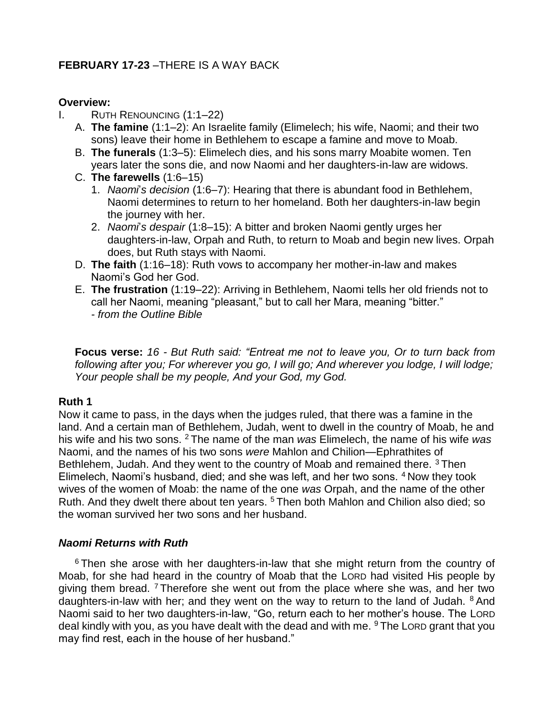### **FEBRUARY 17-23** –THERE IS A WAY BACK

#### **Overview:**

- I. RUTH RENOUNCING (1:1–22)
	- A. **The famine** (1:1–2): An Israelite family (Elimelech; his wife, Naomi; and their two sons) leave their home in Bethlehem to escape a famine and move to Moab.
	- B. **The funerals** (1:3–5): Elimelech dies, and his sons marry Moabite women. Ten years later the sons die, and now Naomi and her daughters-in-law are widows.
	- C. **The farewells** (1:6–15)
		- 1. *Naomi*'*s decision* (1:6–7): Hearing that there is abundant food in Bethlehem, Naomi determines to return to her homeland. Both her daughters-in-law begin the journey with her.
		- 2. *Naomi*'*s despair* (1:8–15): A bitter and broken Naomi gently urges her daughters-in-law, Orpah and Ruth, to return to Moab and begin new lives. Orpah does, but Ruth stays with Naomi.
	- D. **The faith** (1:16–18): Ruth vows to accompany her mother-in-law and makes Naomi's God her God.
	- E. **The frustration** (1:19–22): Arriving in Bethlehem, Naomi tells her old friends not to call her Naomi, meaning "pleasant," but to call her Mara, meaning "bitter." *- from the Outline Bible*

**Focus verse:** *16 - But Ruth said: "Entreat me not to leave you, Or to turn back from following after you; For wherever you go, I will go; And wherever you lodge, I will lodge; Your people shall be my people, And your God, my God.*

### **Ruth 1**

Now it came to pass, in the days when the judges ruled, that there was a famine in the land. And a certain man of Bethlehem, Judah, went to dwell in the country of Moab, he and his wife and his two sons. <sup>2</sup> The name of the man *was* Elimelech, the name of his wife *was* Naomi, and the names of his two sons *were* Mahlon and Chilion—Ephrathites of Bethlehem, Judah. And they went to the country of Moab and remained there. <sup>3</sup> Then Elimelech, Naomi's husband, died; and she was left, and her two sons. <sup>4</sup> Now they took wives of the women of Moab: the name of the one *was* Orpah, and the name of the other Ruth. And they dwelt there about ten years. <sup>5</sup> Then both Mahlon and Chilion also died; so the woman survived her two sons and her husband.

### *Naomi Returns with Ruth*

<sup>6</sup> Then she arose with her daughters-in-law that she might return from the country of Moab, for she had heard in the country of Moab that the LORD had visited His people by giving them bread. <sup>7</sup> Therefore she went out from the place where she was, and her two daughters-in-law with her; and they went on the way to return to the land of Judah. <sup>8</sup> And Naomi said to her two daughters-in-law, "Go, return each to her mother's house. The LORD deal kindly with you, as you have dealt with the dead and with me.  $9$  The LORD grant that you may find rest, each in the house of her husband."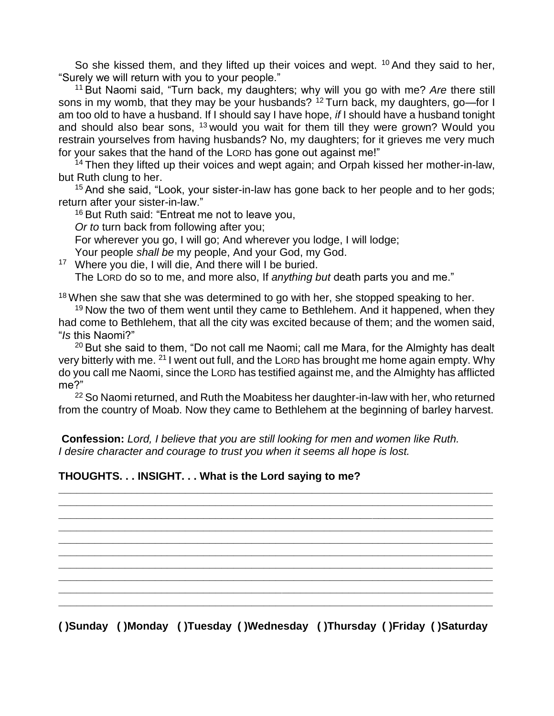So she kissed them, and they lifted up their voices and wept.  $10$  And they said to her, "Surely we will return with you to your people."

<sup>11</sup> But Naomi said, "Turn back, my daughters; why will you go with me? *Are* there still sons in my womb, that they may be your husbands? <sup>12</sup> Turn back, my daughters, go—for I am too old to have a husband. If I should say I have hope, *if* I should have a husband tonight and should also bear sons,  $13$  would you wait for them till they were grown? Would you restrain yourselves from having husbands? No, my daughters; for it grieves me very much for your sakes that the hand of the LORD has gone out against me!"

 $14$  Then they lifted up their voices and wept again; and Orpah kissed her mother-in-law, but Ruth clung to her.

<sup>15</sup> And she said, "Look, your sister-in-law has gone back to her people and to her gods; return after your sister-in-law."

<sup>16</sup> But Ruth said: "Entreat me not to leave you,

*Or to* turn back from following after you;

For wherever you go, I will go; And wherever you lodge, I will lodge;

Your people *shall be* my people, And your God, my God.

<sup>17</sup> Where you die, I will die, And there will I be buried.

The LORD do so to me, and more also, If *anything but* death parts you and me."

 $18$  When she saw that she was determined to go with her, she stopped speaking to her.

<sup>19</sup> Now the two of them went until they came to Bethlehem. And it happened, when they had come to Bethlehem, that all the city was excited because of them; and the women said, "*Is* this Naomi?"

 $20$  But she said to them, "Do not call me Naomi; call me Mara, for the Almighty has dealt very bitterly with me. <sup>21</sup> I went out full, and the LORD has brought me home again empty. Why do you call me Naomi, since the LORD has testified against me, and the Almighty has afflicted me?"

<sup>22</sup> So Naomi returned, and Ruth the Moabitess her daughter-in-law with her, who returned from the country of Moab. Now they came to Bethlehem at the beginning of barley harvest.

**\_\_\_\_\_\_\_\_\_\_\_\_\_\_\_\_\_\_\_\_\_\_\_\_\_\_\_\_\_\_\_\_\_\_\_\_\_\_\_\_\_\_\_\_\_\_\_\_\_\_\_\_\_\_\_\_\_\_\_\_\_\_\_\_\_\_\_\_\_\_\_\_ \_\_\_\_\_\_\_\_\_\_\_\_\_\_\_\_\_\_\_\_\_\_\_\_\_\_\_\_\_\_\_\_\_\_\_\_\_\_\_\_\_\_\_\_\_\_\_\_\_\_\_\_\_\_\_\_\_\_\_\_\_\_\_\_\_\_\_\_\_\_\_\_ \_\_\_\_\_\_\_\_\_\_\_\_\_\_\_\_\_\_\_\_\_\_\_\_\_\_\_\_\_\_\_\_\_\_\_\_\_\_\_\_\_\_\_\_\_\_\_\_\_\_\_\_\_\_\_\_\_\_\_\_\_\_\_\_\_\_\_\_\_\_\_\_ \_\_\_\_\_\_\_\_\_\_\_\_\_\_\_\_\_\_\_\_\_\_\_\_\_\_\_\_\_\_\_\_\_\_\_\_\_\_\_\_\_\_\_\_\_\_\_\_\_\_\_\_\_\_\_\_\_\_\_\_\_\_\_\_\_\_\_\_\_\_\_\_ \_\_\_\_\_\_\_\_\_\_\_\_\_\_\_\_\_\_\_\_\_\_\_\_\_\_\_\_\_\_\_\_\_\_\_\_\_\_\_\_\_\_\_\_\_\_\_\_\_\_\_\_\_\_\_\_\_\_\_\_\_\_\_\_\_\_\_\_\_\_\_\_ \_\_\_\_\_\_\_\_\_\_\_\_\_\_\_\_\_\_\_\_\_\_\_\_\_\_\_\_\_\_\_\_\_\_\_\_\_\_\_\_\_\_\_\_\_\_\_\_\_\_\_\_\_\_\_\_\_\_\_\_\_\_\_\_\_\_\_\_\_\_\_\_ \_\_\_\_\_\_\_\_\_\_\_\_\_\_\_\_\_\_\_\_\_\_\_\_\_\_\_\_\_\_\_\_\_\_\_\_\_\_\_\_\_\_\_\_\_\_\_\_\_\_\_\_\_\_\_\_\_\_\_\_\_\_\_\_\_\_\_\_\_\_\_\_ \_\_\_\_\_\_\_\_\_\_\_\_\_\_\_\_\_\_\_\_\_\_\_\_\_\_\_\_\_\_\_\_\_\_\_\_\_\_\_\_\_\_\_\_\_\_\_\_\_\_\_\_\_\_\_\_\_\_\_\_\_\_\_\_\_\_\_\_\_\_\_\_ \_\_\_\_\_\_\_\_\_\_\_\_\_\_\_\_\_\_\_\_\_\_\_\_\_\_\_\_\_\_\_\_\_\_\_\_\_\_\_\_\_\_\_\_\_\_\_\_\_\_\_\_\_\_\_\_\_\_\_\_\_\_\_\_\_\_\_\_\_\_\_\_ \_\_\_\_\_\_\_\_\_\_\_\_\_\_\_\_\_\_\_\_\_\_\_\_\_\_\_\_\_\_\_\_\_\_\_\_\_\_\_\_\_\_\_\_\_\_\_\_\_\_\_\_\_\_\_\_\_\_\_\_\_\_\_\_\_\_\_\_\_\_\_\_**

**Confession:** *Lord, I believe that you are still looking for men and women like Ruth. I desire character and courage to trust you when it seems all hope is lost.*

### **THOUGHTS. . . INSIGHT. . . What is the Lord saying to me?**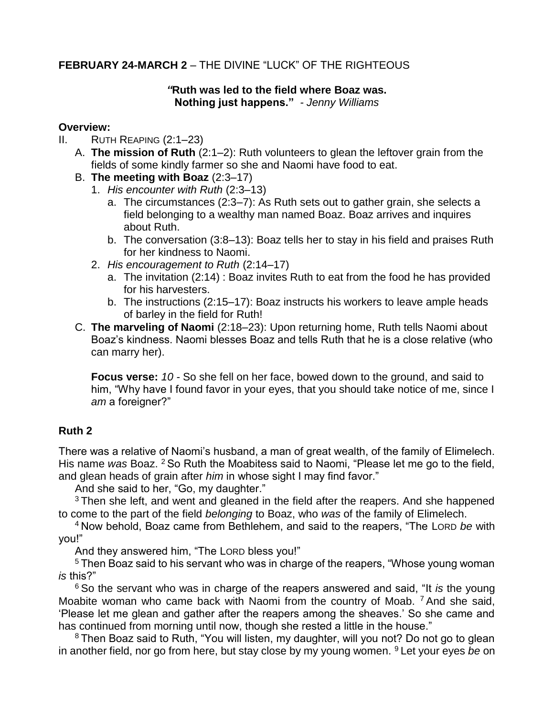### **FEBRUARY 24-MARCH 2** – THE DIVINE "LUCK" OF THE RIGHTEOUS

### *"***Ruth was led to the field where Boaz was. Nothing just happens."** *- Jenny Williams*

#### **Overview:**

- II. RUTH REAPING (2:1–23)
	- A. **The mission of Ruth** (2:1–2): Ruth volunteers to glean the leftover grain from the fields of some kindly farmer so she and Naomi have food to eat.
	- B. **The meeting with Boaz** (2:3–17)
		- 1. *His encounter with Ruth* (2:3–13)
			- a. The circumstances (2:3–7): As Ruth sets out to gather grain, she selects a field belonging to a wealthy man named Boaz. Boaz arrives and inquires about Ruth.
			- b. The conversation (3:8–13): Boaz tells her to stay in his field and praises Ruth for her kindness to Naomi.
		- 2. *His encouragement to Ruth* (2:14–17)
			- a. The invitation (2:14) : Boaz invites Ruth to eat from the food he has provided for his harvesters.
			- b. The instructions (2:15–17): Boaz instructs his workers to leave ample heads of barley in the field for Ruth!
	- C. **The marveling of Naomi** (2:18–23): Upon returning home, Ruth tells Naomi about Boaz's kindness. Naomi blesses Boaz and tells Ruth that he is a close relative (who can marry her).

**Focus verse:** *10 -* So she fell on her face, bowed down to the ground, and said to him, "Why have I found favor in your eyes, that you should take notice of me, since I *am* a foreigner?"

### **Ruth 2**

There was a relative of Naomi's husband, a man of great wealth, of the family of Elimelech. His name *was* Boaz. <sup>2</sup> So Ruth the Moabitess said to Naomi, "Please let me go to the field, and glean heads of grain after *him* in whose sight I may find favor."

And she said to her, "Go, my daughter."

<sup>3</sup> Then she left, and went and gleaned in the field after the reapers. And she happened to come to the part of the field *belonging* to Boaz, who *was* of the family of Elimelech.

<sup>4</sup> Now behold, Boaz came from Bethlehem, and said to the reapers, "The LORD *be* with you!"

And they answered him, "The LORD bless you!"

<sup>5</sup> Then Boaz said to his servant who was in charge of the reapers, "Whose young woman *is* this?"

<sup>6</sup> So the servant who was in charge of the reapers answered and said, "It *is* the young Moabite woman who came back with Naomi from the country of Moab. <sup>7</sup> And she said, 'Please let me glean and gather after the reapers among the sheaves.' So she came and has continued from morning until now, though she rested a little in the house."

<sup>8</sup> Then Boaz said to Ruth, "You will listen, my daughter, will you not? Do not go to glean in another field, nor go from here, but stay close by my young women. <sup>9</sup> Let your eyes *be* on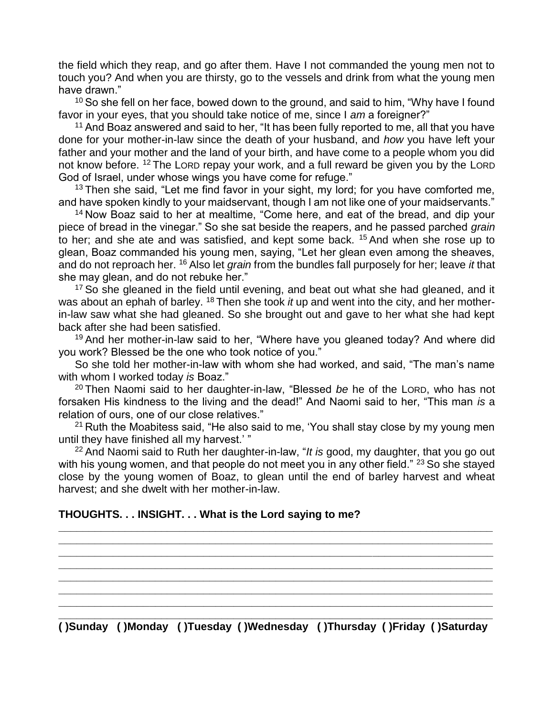the field which they reap, and go after them. Have I not commanded the young men not to touch you? And when you are thirsty, go to the vessels and drink from what the young men have drawn."

<sup>10</sup> So she fell on her face, bowed down to the ground, and said to him, "Why have I found favor in your eyes, that you should take notice of me, since I *am* a foreigner?"

<sup>11</sup> And Boaz answered and said to her, "It has been fully reported to me, all that you have done for your mother-in-law since the death of your husband, and *how* you have left your father and your mother and the land of your birth, and have come to a people whom you did not know before. <sup>12</sup> The LORD repay your work, and a full reward be given you by the LORD God of Israel, under whose wings you have come for refuge."

 $13$  Then she said, "Let me find favor in your sight, my lord; for you have comforted me, and have spoken kindly to your maidservant, though I am not like one of your maidservants."

<sup>14</sup> Now Boaz said to her at mealtime, "Come here, and eat of the bread, and dip your piece of bread in the vinegar." So she sat beside the reapers, and he passed parched *grain* to her; and she ate and was satisfied, and kept some back. <sup>15</sup> And when she rose up to glean, Boaz commanded his young men, saying, "Let her glean even among the sheaves, and do not reproach her. <sup>16</sup> Also let *grain* from the bundles fall purposely for her; leave *it* that she may glean, and do not rebuke her."

<sup>17</sup> So she gleaned in the field until evening, and beat out what she had gleaned, and it was about an ephah of barley. <sup>18</sup> Then she took *it* up and went into the city, and her motherin-law saw what she had gleaned. So she brought out and gave to her what she had kept back after she had been satisfied.

<sup>19</sup> And her mother-in-law said to her, "Where have you gleaned today? And where did you work? Blessed be the one who took notice of you."

So she told her mother-in-law with whom she had worked, and said, "The man's name with whom I worked today *is* Boaz."

<sup>20</sup> Then Naomi said to her daughter-in-law, "Blessed *be* he of the LORD, who has not forsaken His kindness to the living and the dead!" And Naomi said to her, "This man *is* a relation of ours, one of our close relatives."

 $21$  Ruth the Moabitess said, "He also said to me, 'You shall stay close by my young men until they have finished all my harvest.' "

<sup>22</sup> And Naomi said to Ruth her daughter-in-law, "*It is* good, my daughter, that you go out with his young women, and that people do not meet you in any other field." <sup>23</sup> So she stayed close by the young women of Boaz, to glean until the end of barley harvest and wheat harvest; and she dwelt with her mother-in-law.

**\_\_\_\_\_\_\_\_\_\_\_\_\_\_\_\_\_\_\_\_\_\_\_\_\_\_\_\_\_\_\_\_\_\_\_\_\_\_\_\_\_\_\_\_\_\_\_\_\_\_\_\_\_\_\_\_\_\_\_\_\_\_\_\_\_\_\_\_\_\_\_\_ \_\_\_\_\_\_\_\_\_\_\_\_\_\_\_\_\_\_\_\_\_\_\_\_\_\_\_\_\_\_\_\_\_\_\_\_\_\_\_\_\_\_\_\_\_\_\_\_\_\_\_\_\_\_\_\_\_\_\_\_\_\_\_\_\_\_\_\_\_\_\_\_ \_\_\_\_\_\_\_\_\_\_\_\_\_\_\_\_\_\_\_\_\_\_\_\_\_\_\_\_\_\_\_\_\_\_\_\_\_\_\_\_\_\_\_\_\_\_\_\_\_\_\_\_\_\_\_\_\_\_\_\_\_\_\_\_\_\_\_\_\_\_\_\_ \_\_\_\_\_\_\_\_\_\_\_\_\_\_\_\_\_\_\_\_\_\_\_\_\_\_\_\_\_\_\_\_\_\_\_\_\_\_\_\_\_\_\_\_\_\_\_\_\_\_\_\_\_\_\_\_\_\_\_\_\_\_\_\_\_\_\_\_\_\_\_\_ \_\_\_\_\_\_\_\_\_\_\_\_\_\_\_\_\_\_\_\_\_\_\_\_\_\_\_\_\_\_\_\_\_\_\_\_\_\_\_\_\_\_\_\_\_\_\_\_\_\_\_\_\_\_\_\_\_\_\_\_\_\_\_\_\_\_\_\_\_\_\_\_ \_\_\_\_\_\_\_\_\_\_\_\_\_\_\_\_\_\_\_\_\_\_\_\_\_\_\_\_\_\_\_\_\_\_\_\_\_\_\_\_\_\_\_\_\_\_\_\_\_\_\_\_\_\_\_\_\_\_\_\_\_\_\_\_\_\_\_\_\_\_\_\_ \_\_\_\_\_\_\_\_\_\_\_\_\_\_\_\_\_\_\_\_\_\_\_\_\_\_\_\_\_\_\_\_\_\_\_\_\_\_\_\_\_\_\_\_\_\_\_\_\_\_\_\_\_\_\_\_\_\_\_\_\_\_\_\_\_\_\_\_\_\_\_\_** 

### **THOUGHTS. . . INSIGHT. . . What is the Lord saying to me?**

**\_\_\_\_\_\_\_\_\_\_\_\_\_\_\_\_\_\_\_\_\_\_\_\_\_\_\_\_\_\_\_\_\_\_\_\_\_\_\_\_\_\_\_\_\_\_\_\_\_\_\_\_\_\_\_\_\_\_\_\_\_\_\_\_\_\_\_\_\_\_\_\_ ( )Sunday ( )Monday ( )Tuesday ( )Wednesday ( )Thursday ( )Friday ( )Saturday**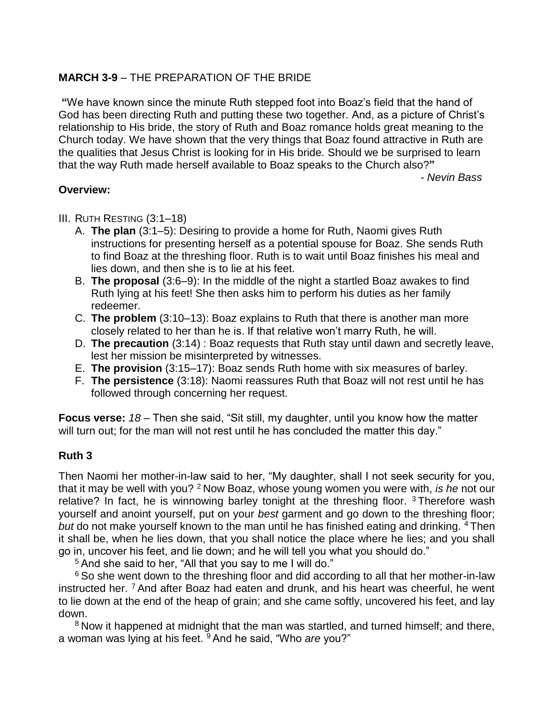### **MARCH 3-9** – THE PREPARATION OF THE BRIDE

**"**We have known since the minute Ruth stepped foot into Boaz's field that the hand of God has been directing Ruth and putting these two together. And, as a picture of Christ's relationship to His bride, the story of Ruth and Boaz romance holds great meaning to the Church today. We have shown that the very things that Boaz found attractive in Ruth are the qualities that Jesus Christ is looking for in His bride. Should we be surprised to learn that the way Ruth made herself available to Boaz speaks to the Church also?**"** 

 *- Nevin Bass*

## **Overview:**

- III. RUTH RESTING (3:1–18)
	- A. **The plan** (3:1–5): Desiring to provide a home for Ruth, Naomi gives Ruth instructions for presenting herself as a potential spouse for Boaz. She sends Ruth to find Boaz at the threshing floor. Ruth is to wait until Boaz finishes his meal and lies down, and then she is to lie at his feet.
	- B. **The proposal** (3:6–9): In the middle of the night a startled Boaz awakes to find Ruth lying at his feet! She then asks him to perform his duties as her family redeemer.
	- C. **The problem** (3:10–13): Boaz explains to Ruth that there is another man more closely related to her than he is. If that relative won't marry Ruth, he will.
	- D. **The precaution** (3:14) : Boaz requests that Ruth stay until dawn and secretly leave, lest her mission be misinterpreted by witnesses.
	- E. **The provision** (3:15–17): Boaz sends Ruth home with six measures of barley.
	- F. **The persistence** (3:18): Naomi reassures Ruth that Boaz will not rest until he has followed through concerning her request.

**Focus verse:** *18 –* Then she said, "Sit still, my daughter, until you know how the matter will turn out; for the man will not rest until he has concluded the matter this day."

### **Ruth 3**

Then Naomi her mother-in-law said to her, "My daughter, shall I not seek security for you, that it may be well with you? <sup>2</sup> Now Boaz, whose young women you were with, *is he* not our relative? In fact, he is winnowing barley tonight at the threshing floor. <sup>3</sup> Therefore wash yourself and anoint yourself, put on your *best* garment and go down to the threshing floor; *but* do not make yourself known to the man until he has finished eating and drinking. <sup>4</sup> Then it shall be, when he lies down, that you shall notice the place where he lies; and you shall go in, uncover his feet, and lie down; and he will tell you what you should do."

<sup>5</sup> And she said to her, "All that you say to me I will do."

<sup>6</sup> So she went down to the threshing floor and did according to all that her mother-in-law instructed her. <sup>7</sup> And after Boaz had eaten and drunk, and his heart was cheerful, he went to lie down at the end of the heap of grain; and she came softly, uncovered his feet, and lay down.

<sup>8</sup> Now it happened at midnight that the man was startled, and turned himself; and there, a woman was lying at his feet. <sup>9</sup> And he said, "Who *are* you?"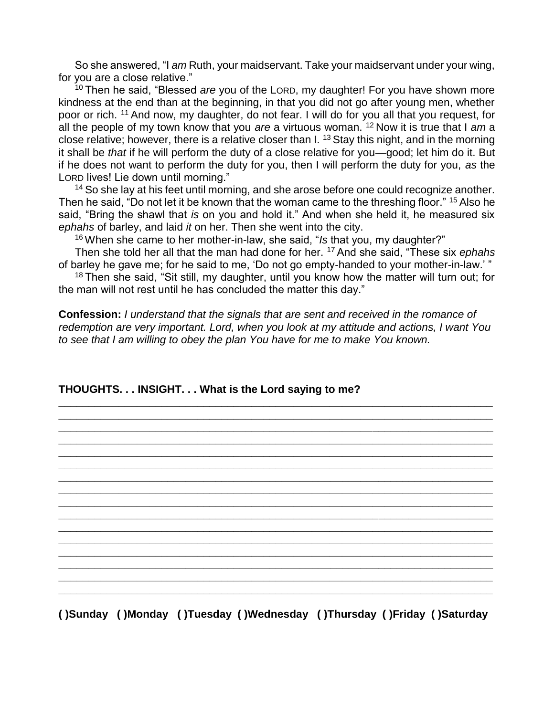So she answered, "I *am* Ruth, your maidservant. Take your maidservant under your wing, for you are a close relative."

<sup>10</sup> Then he said, "Blessed *are* you of the LORD, my daughter! For you have shown more kindness at the end than at the beginning, in that you did not go after young men, whether poor or rich. <sup>11</sup> And now, my daughter, do not fear. I will do for you all that you request, for all the people of my town know that you *are* a virtuous woman. <sup>12</sup> Now it is true that I *am* a close relative; however, there is a relative closer than I. <sup>13</sup> Stay this night, and in the morning it shall be *that* if he will perform the duty of a close relative for you—good; let him do it. But if he does not want to perform the duty for you, then I will perform the duty for you, *as* the LORD lives! Lie down until morning."

<sup>14</sup> So she lay at his feet until morning, and she arose before one could recognize another. Then he said, "Do not let it be known that the woman came to the threshing floor." <sup>15</sup> Also he said, "Bring the shawl that *is* on you and hold it." And when she held it, he measured six *ephahs* of barley, and laid *it* on her. Then she went into the city.

<sup>16</sup> When she came to her mother-in-law, she said, "*Is* that you, my daughter?"

Then she told her all that the man had done for her. <sup>17</sup> And she said, "These six *ephahs* of barley he gave me; for he said to me, 'Do not go empty-handed to your mother-in-law.' "

 $18$  Then she said, "Sit still, my daughter, until you know how the matter will turn out; for the man will not rest until he has concluded the matter this day."

**Confession:** *I understand that the signals that are sent and received in the romance of redemption are very important. Lord, when you look at my attitude and actions, I want You to see that I am willing to obey the plan You have for me to make You known.*

**\_\_\_\_\_\_\_\_\_\_\_\_\_\_\_\_\_\_\_\_\_\_\_\_\_\_\_\_\_\_\_\_\_\_\_\_\_\_\_\_\_\_\_\_\_\_\_\_\_\_\_\_\_\_\_\_\_\_\_\_\_\_\_\_\_\_\_\_\_\_\_\_** 

**\_\_\_\_\_\_\_\_\_\_\_\_\_\_\_\_\_\_\_\_\_\_\_\_\_\_\_\_\_\_\_\_\_\_\_\_\_\_\_\_\_\_\_\_\_\_\_\_\_\_\_\_\_\_\_\_\_\_\_\_\_\_\_\_\_\_\_\_\_\_\_\_ \_\_\_\_\_\_\_\_\_\_\_\_\_\_\_\_\_\_\_\_\_\_\_\_\_\_\_\_\_\_\_\_\_\_\_\_\_\_\_\_\_\_\_\_\_\_\_\_\_\_\_\_\_\_\_\_\_\_\_\_\_\_\_\_\_\_\_\_\_\_\_\_ \_\_\_\_\_\_\_\_\_\_\_\_\_\_\_\_\_\_\_\_\_\_\_\_\_\_\_\_\_\_\_\_\_\_\_\_\_\_\_\_\_\_\_\_\_\_\_\_\_\_\_\_\_\_\_\_\_\_\_\_\_\_\_\_\_\_\_\_\_\_\_\_ \_\_\_\_\_\_\_\_\_\_\_\_\_\_\_\_\_\_\_\_\_\_\_\_\_\_\_\_\_\_\_\_\_\_\_\_\_\_\_\_\_\_\_\_\_\_\_\_\_\_\_\_\_\_\_\_\_\_\_\_\_\_\_\_\_\_\_\_\_\_\_\_ \_\_\_\_\_\_\_\_\_\_\_\_\_\_\_\_\_\_\_\_\_\_\_\_\_\_\_\_\_\_\_\_\_\_\_\_\_\_\_\_\_\_\_\_\_\_\_\_\_\_\_\_\_\_\_\_\_\_\_\_\_\_\_\_\_\_\_\_\_\_\_\_ \_\_\_\_\_\_\_\_\_\_\_\_\_\_\_\_\_\_\_\_\_\_\_\_\_\_\_\_\_\_\_\_\_\_\_\_\_\_\_\_\_\_\_\_\_\_\_\_\_\_\_\_\_\_\_\_\_\_\_\_\_\_\_\_\_\_\_\_\_\_\_\_ \_\_\_\_\_\_\_\_\_\_\_\_\_\_\_\_\_\_\_\_\_\_\_\_\_\_\_\_\_\_\_\_\_\_\_\_\_\_\_\_\_\_\_\_\_\_\_\_\_\_\_\_\_\_\_\_\_\_\_\_\_\_\_\_\_\_\_\_\_\_\_\_ \_\_\_\_\_\_\_\_\_\_\_\_\_\_\_\_\_\_\_\_\_\_\_\_\_\_\_\_\_\_\_\_\_\_\_\_\_\_\_\_\_\_\_\_\_\_\_\_\_\_\_\_\_\_\_\_\_\_\_\_\_\_\_\_\_\_\_\_\_\_\_\_ \_\_\_\_\_\_\_\_\_\_\_\_\_\_\_\_\_\_\_\_\_\_\_\_\_\_\_\_\_\_\_\_\_\_\_\_\_\_\_\_\_\_\_\_\_\_\_\_\_\_\_\_\_\_\_\_\_\_\_\_\_\_\_\_\_\_\_\_\_\_\_\_ \_\_\_\_\_\_\_\_\_\_\_\_\_\_\_\_\_\_\_\_\_\_\_\_\_\_\_\_\_\_\_\_\_\_\_\_\_\_\_\_\_\_\_\_\_\_\_\_\_\_\_\_\_\_\_\_\_\_\_\_\_\_\_\_\_\_\_\_\_\_\_\_ \_\_\_\_\_\_\_\_\_\_\_\_\_\_\_\_\_\_\_\_\_\_\_\_\_\_\_\_\_\_\_\_\_\_\_\_\_\_\_\_\_\_\_\_\_\_\_\_\_\_\_\_\_\_\_\_\_\_\_\_\_\_\_\_\_\_\_\_\_\_\_\_ \_\_\_\_\_\_\_\_\_\_\_\_\_\_\_\_\_\_\_\_\_\_\_\_\_\_\_\_\_\_\_\_\_\_\_\_\_\_\_\_\_\_\_\_\_\_\_\_\_\_\_\_\_\_\_\_\_\_\_\_\_\_\_\_\_\_\_\_\_\_\_\_ \_\_\_\_\_\_\_\_\_\_\_\_\_\_\_\_\_\_\_\_\_\_\_\_\_\_\_\_\_\_\_\_\_\_\_\_\_\_\_\_\_\_\_\_\_\_\_\_\_\_\_\_\_\_\_\_\_\_\_\_\_\_\_\_\_\_\_\_\_\_\_\_ \_\_\_\_\_\_\_\_\_\_\_\_\_\_\_\_\_\_\_\_\_\_\_\_\_\_\_\_\_\_\_\_\_\_\_\_\_\_\_\_\_\_\_\_\_\_\_\_\_\_\_\_\_\_\_\_\_\_\_\_\_\_\_\_\_\_\_\_\_\_\_\_ \_\_\_\_\_\_\_\_\_\_\_\_\_\_\_\_\_\_\_\_\_\_\_\_\_\_\_\_\_\_\_\_\_\_\_\_\_\_\_\_\_\_\_\_\_\_\_\_\_\_\_\_\_\_\_\_\_\_\_\_\_\_\_\_\_\_\_\_\_\_\_\_**

### **THOUGHTS. . . INSIGHT. . . What is the Lord saying to me?**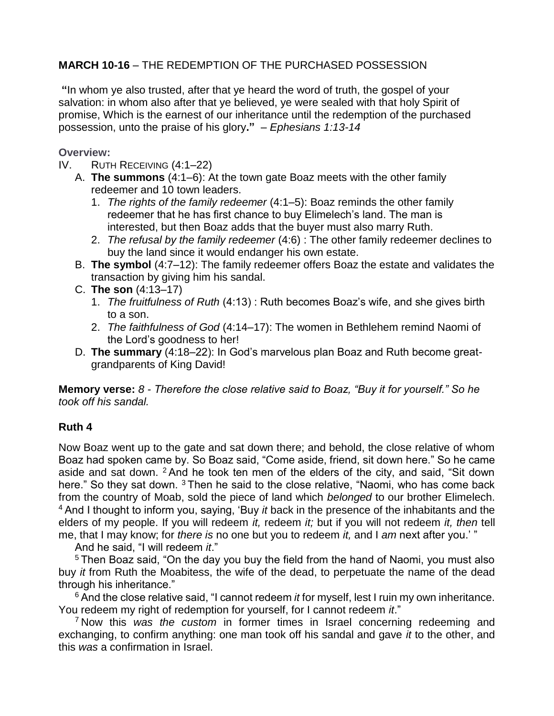### **MARCH 10-16** – THE REDEMPTION OF THE PURCHASED POSSESSION

**"**In whom ye also trusted, after that ye heard the word of truth, the gospel of your salvation: in whom also after that ye believed, ye were sealed with that holy Spirit of promise, Which is the earnest of our inheritance until the redemption of the purchased possession, unto the praise of his glory**."** *– Ephesians 1:13-14*

**Overview:**

- IV. RUTH RECEIVING (4:1–22)
	- A. **The summons** (4:1–6): At the town gate Boaz meets with the other family redeemer and 10 town leaders.
		- 1. *The rights of the family redeemer* (4:1–5): Boaz reminds the other family redeemer that he has first chance to buy Elimelech's land. The man is interested, but then Boaz adds that the buyer must also marry Ruth.
		- 2. *The refusal by the family redeemer* (4:6) : The other family redeemer declines to buy the land since it would endanger his own estate.
	- B. **The symbol** (4:7–12): The family redeemer offers Boaz the estate and validates the transaction by giving him his sandal.
	- C. **The son** (4:13–17)
		- 1. *The fruitfulness of Ruth* (4:13) : Ruth becomes Boaz's wife, and she gives birth to a son.
		- 2. *The faithfulness of God* (4:14–17): The women in Bethlehem remind Naomi of the Lord's goodness to her!
	- D. **The summary** (4:18–22): In God's marvelous plan Boaz and Ruth become greatgrandparents of King David!

**Memory verse:** *8 - Therefore the close relative said to Boaz, "Buy it for yourself." So he took off his sandal.* 

### **Ruth 4**

Now Boaz went up to the gate and sat down there; and behold, the close relative of whom Boaz had spoken came by. So Boaz said, "Come aside, friend, sit down here." So he came aside and sat down. <sup>2</sup> And he took ten men of the elders of the city, and said, "Sit down here." So they sat down. <sup>3</sup> Then he said to the close relative, "Naomi, who has come back from the country of Moab, sold the piece of land which *belonged* to our brother Elimelech. <sup>4</sup> And I thought to inform you, saying, 'Buy *it* back in the presence of the inhabitants and the elders of my people. If you will redeem *it,* redeem *it;* but if you will not redeem *it, then* tell me, that I may know; for *there is* no one but you to redeem *it,* and I *am* next after you.' "

And he said, "I will redeem *it*."

<sup>5</sup> Then Boaz said, "On the day you buy the field from the hand of Naomi, you must also buy *it* from Ruth the Moabitess, the wife of the dead, to perpetuate the name of the dead through his inheritance."

<sup>6</sup> And the close relative said, "I cannot redeem *it* for myself, lest I ruin my own inheritance. You redeem my right of redemption for yourself, for I cannot redeem *it*."

<sup>7</sup> Now this *was the custom* in former times in Israel concerning redeeming and exchanging, to confirm anything: one man took off his sandal and gave *it* to the other, and this *was* a confirmation in Israel.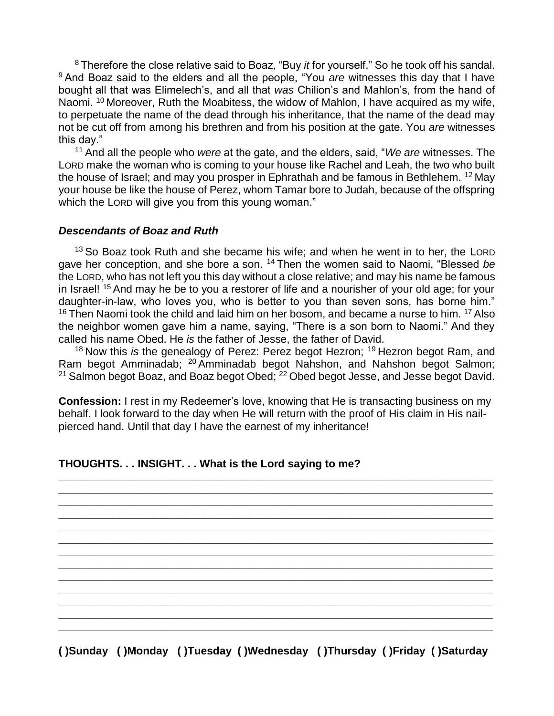<sup>8</sup> Therefore the close relative said to Boaz, "Buy *it* for yourself." So he took off his sandal. <sup>9</sup> And Boaz said to the elders and all the people, "You *are* witnesses this day that I have bought all that was Elimelech's, and all that *was* Chilion's and Mahlon's, from the hand of Naomi. <sup>10</sup> Moreover, Ruth the Moabitess, the widow of Mahlon, I have acquired as my wife, to perpetuate the name of the dead through his inheritance, that the name of the dead may not be cut off from among his brethren and from his position at the gate. You *are* witnesses this day."

<sup>11</sup> And all the people who *were* at the gate, and the elders, said, "*We are* witnesses. The LORD make the woman who is coming to your house like Rachel and Leah, the two who built the house of Israel; and may you prosper in Ephrathah and be famous in Bethlehem. <sup>12</sup> May your house be like the house of Perez, whom Tamar bore to Judah, because of the offspring which the LORD will give you from this young woman."

#### *Descendants of Boaz and Ruth*

<sup>13</sup> So Boaz took Ruth and she became his wife; and when he went in to her, the LORD gave her conception, and she bore a son. <sup>14</sup> Then the women said to Naomi, "Blessed *be* the LORD, who has not left you this day without a close relative; and may his name be famous in Israel! <sup>15</sup> And may he be to you a restorer of life and a nourisher of your old age; for your daughter-in-law, who loves you, who is better to you than seven sons, has borne him."  $16$  Then Naomi took the child and laid him on her bosom, and became a nurse to him.  $17$  Also the neighbor women gave him a name, saying, "There is a son born to Naomi." And they called his name Obed. He *is* the father of Jesse, the father of David.

<sup>18</sup> Now this *is* the genealogy of Perez: Perez begot Hezron; <sup>19</sup> Hezron begot Ram, and Ram begot Amminadab; <sup>20</sup> Amminadab begot Nahshon, and Nahshon begot Salmon;  $21$  Salmon begot Boaz, and Boaz begot Obed;  $22$  Obed begot Jesse, and Jesse begot David.

**Confession:** I rest in my Redeemer's love, knowing that He is transacting business on my behalf. I look forward to the day when He will return with the proof of His claim in His nailpierced hand. Until that day I have the earnest of my inheritance!

**\_\_\_\_\_\_\_\_\_\_\_\_\_\_\_\_\_\_\_\_\_\_\_\_\_\_\_\_\_\_\_\_\_\_\_\_\_\_\_\_\_\_\_\_\_\_\_\_\_\_\_\_\_\_\_\_\_\_\_\_\_\_\_\_\_\_\_\_\_\_\_\_ \_\_\_\_\_\_\_\_\_\_\_\_\_\_\_\_\_\_\_\_\_\_\_\_\_\_\_\_\_\_\_\_\_\_\_\_\_\_\_\_\_\_\_\_\_\_\_\_\_\_\_\_\_\_\_\_\_\_\_\_\_\_\_\_\_\_\_\_\_\_\_\_ \_\_\_\_\_\_\_\_\_\_\_\_\_\_\_\_\_\_\_\_\_\_\_\_\_\_\_\_\_\_\_\_\_\_\_\_\_\_\_\_\_\_\_\_\_\_\_\_\_\_\_\_\_\_\_\_\_\_\_\_\_\_\_\_\_\_\_\_\_\_\_\_ \_\_\_\_\_\_\_\_\_\_\_\_\_\_\_\_\_\_\_\_\_\_\_\_\_\_\_\_\_\_\_\_\_\_\_\_\_\_\_\_\_\_\_\_\_\_\_\_\_\_\_\_\_\_\_\_\_\_\_\_\_\_\_\_\_\_\_\_\_\_\_\_ \_\_\_\_\_\_\_\_\_\_\_\_\_\_\_\_\_\_\_\_\_\_\_\_\_\_\_\_\_\_\_\_\_\_\_\_\_\_\_\_\_\_\_\_\_\_\_\_\_\_\_\_\_\_\_\_\_\_\_\_\_\_\_\_\_\_\_\_\_\_\_\_ \_\_\_\_\_\_\_\_\_\_\_\_\_\_\_\_\_\_\_\_\_\_\_\_\_\_\_\_\_\_\_\_\_\_\_\_\_\_\_\_\_\_\_\_\_\_\_\_\_\_\_\_\_\_\_\_\_\_\_\_\_\_\_\_\_\_\_\_\_\_\_\_ \_\_\_\_\_\_\_\_\_\_\_\_\_\_\_\_\_\_\_\_\_\_\_\_\_\_\_\_\_\_\_\_\_\_\_\_\_\_\_\_\_\_\_\_\_\_\_\_\_\_\_\_\_\_\_\_\_\_\_\_\_\_\_\_\_\_\_\_\_\_\_\_ \_\_\_\_\_\_\_\_\_\_\_\_\_\_\_\_\_\_\_\_\_\_\_\_\_\_\_\_\_\_\_\_\_\_\_\_\_\_\_\_\_\_\_\_\_\_\_\_\_\_\_\_\_\_\_\_\_\_\_\_\_\_\_\_\_\_\_\_\_\_\_\_ \_\_\_\_\_\_\_\_\_\_\_\_\_\_\_\_\_\_\_\_\_\_\_\_\_\_\_\_\_\_\_\_\_\_\_\_\_\_\_\_\_\_\_\_\_\_\_\_\_\_\_\_\_\_\_\_\_\_\_\_\_\_\_\_\_\_\_\_\_\_\_\_ \_\_\_\_\_\_\_\_\_\_\_\_\_\_\_\_\_\_\_\_\_\_\_\_\_\_\_\_\_\_\_\_\_\_\_\_\_\_\_\_\_\_\_\_\_\_\_\_\_\_\_\_\_\_\_\_\_\_\_\_\_\_\_\_\_\_\_\_\_\_\_\_ \_\_\_\_\_\_\_\_\_\_\_\_\_\_\_\_\_\_\_\_\_\_\_\_\_\_\_\_\_\_\_\_\_\_\_\_\_\_\_\_\_\_\_\_\_\_\_\_\_\_\_\_\_\_\_\_\_\_\_\_\_\_\_\_\_\_\_\_\_\_\_\_ \_\_\_\_\_\_\_\_\_\_\_\_\_\_\_\_\_\_\_\_\_\_\_\_\_\_\_\_\_\_\_\_\_\_\_\_\_\_\_\_\_\_\_\_\_\_\_\_\_\_\_\_\_\_\_\_\_\_\_\_\_\_\_\_\_\_\_\_\_\_\_\_ \_\_\_\_\_\_\_\_\_\_\_\_\_\_\_\_\_\_\_\_\_\_\_\_\_\_\_\_\_\_\_\_\_\_\_\_\_\_\_\_\_\_\_\_\_\_\_\_\_\_\_\_\_\_\_\_\_\_\_\_\_\_\_\_\_\_\_\_\_\_\_\_** 

#### **THOUGHTS. . . INSIGHT. . . What is the Lord saying to me?**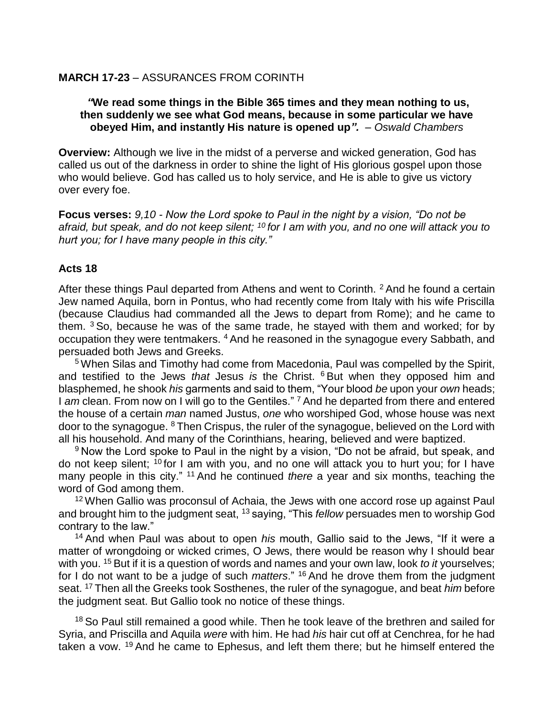### **MARCH 17-23** – ASSURANCES FROM CORINTH

#### *"***We read some things in the Bible 365 times and they mean nothing to us, then suddenly we see what God means, because in some particular we have obeyed Him, and instantly His nature is opened up***". – Oswald Chambers*

**Overview:** Although we live in the midst of a perverse and wicked generation, God has called us out of the darkness in order to shine the light of His glorious gospel upon those who would believe. God has called us to holy service, and He is able to give us victory over every foe.

**Focus verses:** *9,10 - Now the Lord spoke to Paul in the night by a vision, "Do not be afraid, but speak, and do not keep silent; <sup>10</sup> for I am with you, and no one will attack you to hurt you; for I have many people in this city."*

### **Acts 18**

After these things Paul departed from Athens and went to Corinth. <sup>2</sup> And he found a certain Jew named Aquila, born in Pontus, who had recently come from Italy with his wife Priscilla (because Claudius had commanded all the Jews to depart from Rome); and he came to them. <sup>3</sup> So, because he was of the same trade, he stayed with them and worked; for by occupation they were tentmakers. <sup>4</sup> And he reasoned in the synagogue every Sabbath, and persuaded both Jews and Greeks.

<sup>5</sup> When Silas and Timothy had come from Macedonia, Paul was compelled by the Spirit, and testified to the Jews *that* Jesus *is* the Christ. <sup>6</sup> But when they opposed him and blasphemed, he shook *his* garments and said to them, "Your blood *be* upon your *own* heads; I *am* clean. From now on I will go to the Gentiles."<sup>7</sup> And he departed from there and entered the house of a certain *man* named Justus, *one* who worshiped God, whose house was next door to the synagogue. <sup>8</sup> Then Crispus, the ruler of the synagogue, believed on the Lord with all his household. And many of the Corinthians, hearing, believed and were baptized.

<sup>9</sup> Now the Lord spoke to Paul in the night by a vision, "Do not be afraid, but speak, and do not keep silent; <sup>10</sup> for I am with you, and no one will attack you to hurt you; for I have many people in this city." <sup>11</sup> And he continued *there* a year and six months, teaching the word of God among them.

<sup>12</sup> When Gallio was proconsul of Achaia, the Jews with one accord rose up against Paul and brought him to the judgment seat, <sup>13</sup> saying, "This *fellow* persuades men to worship God contrary to the law."

<sup>14</sup> And when Paul was about to open *his* mouth, Gallio said to the Jews, "If it were a matter of wrongdoing or wicked crimes, O Jews, there would be reason why I should bear with you. <sup>15</sup> But if it is a question of words and names and your own law, look *to it* yourselves; for I do not want to be a judge of such *matters*." <sup>16</sup> And he drove them from the judgment seat. <sup>17</sup> Then all the Greeks took Sosthenes, the ruler of the synagogue, and beat *him* before the judgment seat. But Gallio took no notice of these things.

<sup>18</sup> So Paul still remained a good while. Then he took leave of the brethren and sailed for Syria, and Priscilla and Aquila *were* with him. He had *his* hair cut off at Cenchrea, for he had taken a vow. <sup>19</sup> And he came to Ephesus, and left them there; but he himself entered the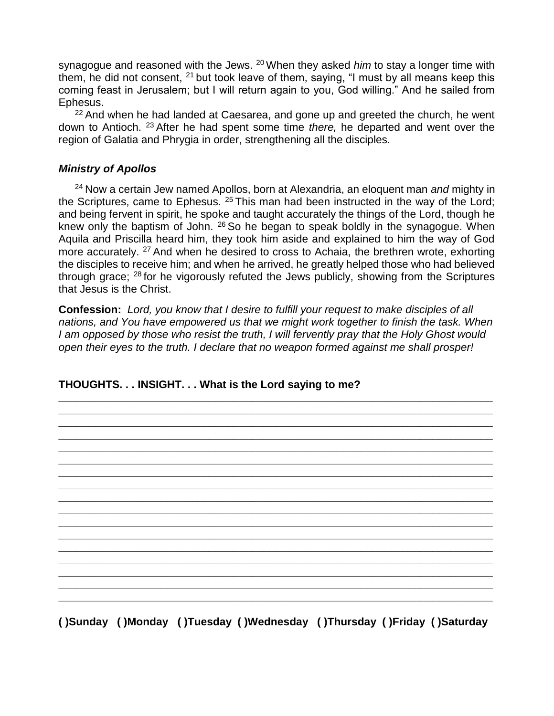synagogue and reasoned with the Jews. <sup>20</sup> When they asked *him* to stay a longer time with them, he did not consent,  $21$  but took leave of them, saying, "I must by all means keep this coming feast in Jerusalem; but I will return again to you, God willing." And he sailed from Ephesus.

 $22$  And when he had landed at Caesarea, and gone up and greeted the church, he went down to Antioch. <sup>23</sup> After he had spent some time *there,* he departed and went over the region of Galatia and Phrygia in order, strengthening all the disciples.

### *Ministry of Apollos*

<sup>24</sup> Now a certain Jew named Apollos, born at Alexandria, an eloquent man *and* mighty in the Scriptures, came to Ephesus.  $25$  This man had been instructed in the way of the Lord; and being fervent in spirit, he spoke and taught accurately the things of the Lord, though he knew only the baptism of John. <sup>26</sup> So he began to speak boldly in the synagogue. When Aquila and Priscilla heard him, they took him aside and explained to him the way of God more accurately. <sup>27</sup> And when he desired to cross to Achaia, the brethren wrote, exhorting the disciples to receive him; and when he arrived, he greatly helped those who had believed through grace; <sup>28</sup> for he vigorously refuted the Jews publicly, showing from the Scriptures that Jesus is the Christ.

**Confession:** *Lord, you know that I desire to fulfill your request to make disciples of all nations, and You have empowered us that we might work together to finish the task. When I am opposed by those who resist the truth, I will fervently pray that the Holy Ghost would open their eyes to the truth. I declare that no weapon formed against me shall prosper!*

**\_\_\_\_\_\_\_\_\_\_\_\_\_\_\_\_\_\_\_\_\_\_\_\_\_\_\_\_\_\_\_\_\_\_\_\_\_\_\_\_\_\_\_\_\_\_\_\_\_\_\_\_\_\_\_\_\_\_\_\_\_\_\_\_\_\_\_\_\_\_\_\_** 

### **\_\_\_\_\_\_\_\_\_\_\_\_\_\_\_\_\_\_\_\_\_\_\_\_\_\_\_\_\_\_\_\_\_\_\_\_\_\_\_\_\_\_\_\_\_\_\_\_\_\_\_\_\_\_\_\_\_\_\_\_\_\_\_\_\_\_\_\_\_\_\_\_ \_\_\_\_\_\_\_\_\_\_\_\_\_\_\_\_\_\_\_\_\_\_\_\_\_\_\_\_\_\_\_\_\_\_\_\_\_\_\_\_\_\_\_\_\_\_\_\_\_\_\_\_\_\_\_\_\_\_\_\_\_\_\_\_\_\_\_\_\_\_\_\_ \_\_\_\_\_\_\_\_\_\_\_\_\_\_\_\_\_\_\_\_\_\_\_\_\_\_\_\_\_\_\_\_\_\_\_\_\_\_\_\_\_\_\_\_\_\_\_\_\_\_\_\_\_\_\_\_\_\_\_\_\_\_\_\_\_\_\_\_\_\_\_\_ \_\_\_\_\_\_\_\_\_\_\_\_\_\_\_\_\_\_\_\_\_\_\_\_\_\_\_\_\_\_\_\_\_\_\_\_\_\_\_\_\_\_\_\_\_\_\_\_\_\_\_\_\_\_\_\_\_\_\_\_\_\_\_\_\_\_\_\_\_\_\_\_ \_\_\_\_\_\_\_\_\_\_\_\_\_\_\_\_\_\_\_\_\_\_\_\_\_\_\_\_\_\_\_\_\_\_\_\_\_\_\_\_\_\_\_\_\_\_\_\_\_\_\_\_\_\_\_\_\_\_\_\_\_\_\_\_\_\_\_\_\_\_\_\_ \_\_\_\_\_\_\_\_\_\_\_\_\_\_\_\_\_\_\_\_\_\_\_\_\_\_\_\_\_\_\_\_\_\_\_\_\_\_\_\_\_\_\_\_\_\_\_\_\_\_\_\_\_\_\_\_\_\_\_\_\_\_\_\_\_\_\_\_\_\_\_\_ \_\_\_\_\_\_\_\_\_\_\_\_\_\_\_\_\_\_\_\_\_\_\_\_\_\_\_\_\_\_\_\_\_\_\_\_\_\_\_\_\_\_\_\_\_\_\_\_\_\_\_\_\_\_\_\_\_\_\_\_\_\_\_\_\_\_\_\_\_\_\_\_ \_\_\_\_\_\_\_\_\_\_\_\_\_\_\_\_\_\_\_\_\_\_\_\_\_\_\_\_\_\_\_\_\_\_\_\_\_\_\_\_\_\_\_\_\_\_\_\_\_\_\_\_\_\_\_\_\_\_\_\_\_\_\_\_\_\_\_\_\_\_\_\_ \_\_\_\_\_\_\_\_\_\_\_\_\_\_\_\_\_\_\_\_\_\_\_\_\_\_\_\_\_\_\_\_\_\_\_\_\_\_\_\_\_\_\_\_\_\_\_\_\_\_\_\_\_\_\_\_\_\_\_\_\_\_\_\_\_\_\_\_\_\_\_\_ \_\_\_\_\_\_\_\_\_\_\_\_\_\_\_\_\_\_\_\_\_\_\_\_\_\_\_\_\_\_\_\_\_\_\_\_\_\_\_\_\_\_\_\_\_\_\_\_\_\_\_\_\_\_\_\_\_\_\_\_\_\_\_\_\_\_\_\_\_\_\_\_ \_\_\_\_\_\_\_\_\_\_\_\_\_\_\_\_\_\_\_\_\_\_\_\_\_\_\_\_\_\_\_\_\_\_\_\_\_\_\_\_\_\_\_\_\_\_\_\_\_\_\_\_\_\_\_\_\_\_\_\_\_\_\_\_\_\_\_\_\_\_\_\_ \_\_\_\_\_\_\_\_\_\_\_\_\_\_\_\_\_\_\_\_\_\_\_\_\_\_\_\_\_\_\_\_\_\_\_\_\_\_\_\_\_\_\_\_\_\_\_\_\_\_\_\_\_\_\_\_\_\_\_\_\_\_\_\_\_\_\_\_\_\_\_\_ \_\_\_\_\_\_\_\_\_\_\_\_\_\_\_\_\_\_\_\_\_\_\_\_\_\_\_\_\_\_\_\_\_\_\_\_\_\_\_\_\_\_\_\_\_\_\_\_\_\_\_\_\_\_\_\_\_\_\_\_\_\_\_\_\_\_\_\_\_\_\_\_ \_\_\_\_\_\_\_\_\_\_\_\_\_\_\_\_\_\_\_\_\_\_\_\_\_\_\_\_\_\_\_\_\_\_\_\_\_\_\_\_\_\_\_\_\_\_\_\_\_\_\_\_\_\_\_\_\_\_\_\_\_\_\_\_\_\_\_\_\_\_\_\_ \_\_\_\_\_\_\_\_\_\_\_\_\_\_\_\_\_\_\_\_\_\_\_\_\_\_\_\_\_\_\_\_\_\_\_\_\_\_\_\_\_\_\_\_\_\_\_\_\_\_\_\_\_\_\_\_\_\_\_\_\_\_\_\_\_\_\_\_\_\_\_\_ \_\_\_\_\_\_\_\_\_\_\_\_\_\_\_\_\_\_\_\_\_\_\_\_\_\_\_\_\_\_\_\_\_\_\_\_\_\_\_\_\_\_\_\_\_\_\_\_\_\_\_\_\_\_\_\_\_\_\_\_\_\_\_\_\_\_\_\_\_\_\_\_**

### **THOUGHTS. . . INSIGHT. . . What is the Lord saying to me?**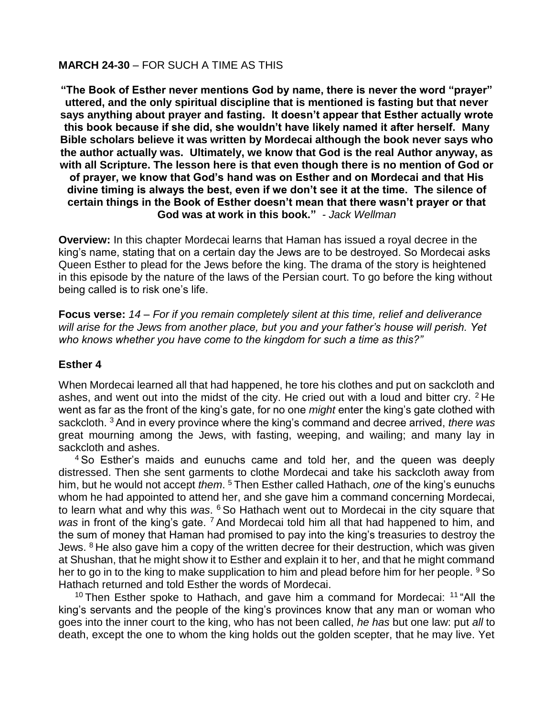### **MARCH 24-30** – FOR SUCH A TIME AS THIS

**"The Book of Esther never mentions God by name, there is never the word "prayer" uttered, and the only spiritual discipline that is mentioned is fasting but that never says anything about prayer and fasting. It doesn't appear that Esther actually wrote this book because if she did, she wouldn't have likely named it after herself. Many Bible scholars believe it was written by Mordecai although the book never says who the author actually was. Ultimately, we know that God is the real Author anyway, as with all Scripture. The lesson here is that even though there is no mention of God or of prayer, we know that God's hand was on Esther and on Mordecai and that His divine timing is always the best, even if we don't see it at the time. The silence of certain things in the Book of Esther doesn't mean that there wasn't prayer or that God was at work in this book."** *- Jack Wellman*

**Overview:** In this chapter Mordecai learns that Haman has issued a royal decree in the king's name, stating that on a certain day the Jews are to be destroyed. So Mordecai asks Queen Esther to plead for the Jews before the king. The drama of the story is heightened in this episode by the nature of the laws of the Persian court. To go before the king without being called is to risk one's life.

**Focus verse:** *14* – *For if you remain completely silent at this time, relief and deliverance will arise for the Jews from another place, but you and your father's house will perish. Yet who knows whether you have come to the kingdom for such a time as this?"*

#### **Esther 4**

When Mordecai learned all that had happened, he tore his clothes and put on sackcloth and ashes, and went out into the midst of the city. He cried out with a loud and bitter cry.  $2$  He went as far as the front of the king's gate, for no one *might* enter the king's gate clothed with sackcloth. <sup>3</sup> And in every province where the king's command and decree arrived, *there was* great mourning among the Jews, with fasting, weeping, and wailing; and many lay in sackcloth and ashes.

<sup>4</sup> So Esther's maids and eunuchs came and told her, and the queen was deeply distressed. Then she sent garments to clothe Mordecai and take his sackcloth away from him, but he would not accept *them*. <sup>5</sup> Then Esther called Hathach, *one* of the king's eunuchs whom he had appointed to attend her, and she gave him a command concerning Mordecai, to learn what and why this *was*. <sup>6</sup> So Hathach went out to Mordecai in the city square that was in front of the king's gate.<sup>7</sup> And Mordecai told him all that had happened to him, and the sum of money that Haman had promised to pay into the king's treasuries to destroy the Jews.  $8$  He also gave him a copy of the written decree for their destruction, which was given at Shushan, that he might show it to Esther and explain it to her, and that he might command her to go in to the king to make supplication to him and plead before him for her people. <sup>9</sup> So Hathach returned and told Esther the words of Mordecai.

 $10$  Then Esther spoke to Hathach, and gave him a command for Mordecai:  $11$  "All the king's servants and the people of the king's provinces know that any man or woman who goes into the inner court to the king, who has not been called, *he has* but one law: put *all* to death, except the one to whom the king holds out the golden scepter, that he may live. Yet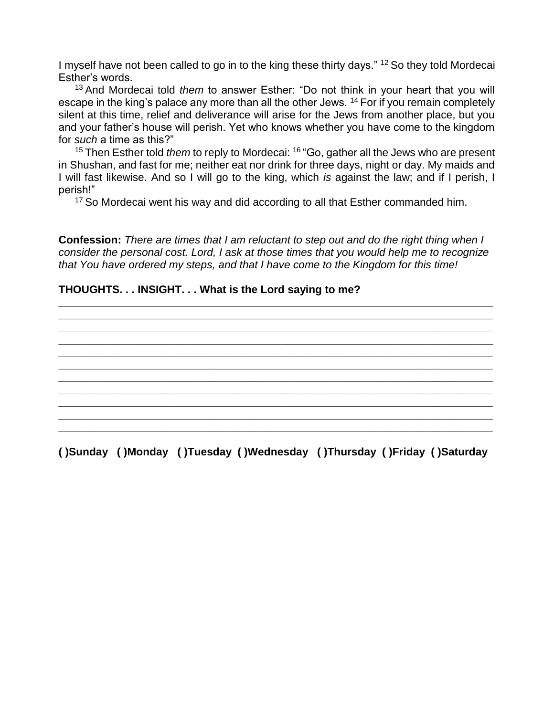I myself have not been called to go in to the king these thirty days." <sup>12</sup> So they told Mordecai Esther's words.

<sup>13</sup> And Mordecai told *them* to answer Esther: "Do not think in your heart that you will escape in the king's palace any more than all the other Jews. <sup>14</sup> For if you remain completely silent at this time, relief and deliverance will arise for the Jews from another place, but you and your father's house will perish. Yet who knows whether you have come to the kingdom for *such* a time as this?"

<sup>15</sup> Then Esther told *them* to reply to Mordecai: <sup>16</sup> "Go, gather all the Jews who are present in Shushan, and fast for me; neither eat nor drink for three days, night or day. My maids and I will fast likewise. And so I will go to the king, which *is* against the law; and if I perish, I perish!"

<sup>17</sup> So Mordecai went his way and did according to all that Esther commanded him.

**Confession:** *There are times that I am reluctant to step out and do the right thing when I consider the personal cost. Lord, I ask at those times that you would help me to recognize that You have ordered my steps, and that I have come to the Kingdom for this time!*

**\_\_\_\_\_\_\_\_\_\_\_\_\_\_\_\_\_\_\_\_\_\_\_\_\_\_\_\_\_\_\_\_\_\_\_\_\_\_\_\_\_\_\_\_\_\_\_\_\_\_\_\_\_\_\_\_\_\_\_\_\_\_\_\_\_\_\_\_\_\_\_\_ \_\_\_\_\_\_\_\_\_\_\_\_\_\_\_\_\_\_\_\_\_\_\_\_\_\_\_\_\_\_\_\_\_\_\_\_\_\_\_\_\_\_\_\_\_\_\_\_\_\_\_\_\_\_\_\_\_\_\_\_\_\_\_\_\_\_\_\_\_\_\_\_ \_\_\_\_\_\_\_\_\_\_\_\_\_\_\_\_\_\_\_\_\_\_\_\_\_\_\_\_\_\_\_\_\_\_\_\_\_\_\_\_\_\_\_\_\_\_\_\_\_\_\_\_\_\_\_\_\_\_\_\_\_\_\_\_\_\_\_\_\_\_\_\_ \_\_\_\_\_\_\_\_\_\_\_\_\_\_\_\_\_\_\_\_\_\_\_\_\_\_\_\_\_\_\_\_\_\_\_\_\_\_\_\_\_\_\_\_\_\_\_\_\_\_\_\_\_\_\_\_\_\_\_\_\_\_\_\_\_\_\_\_\_\_\_\_**

**\_\_\_\_\_\_\_\_\_\_\_\_\_\_\_\_\_\_\_\_\_\_\_\_\_\_\_\_\_\_\_\_\_\_\_\_\_\_\_\_\_\_\_\_\_\_\_\_\_\_\_\_\_\_\_\_\_\_\_\_\_\_\_\_\_\_\_\_\_\_\_\_ \_\_\_\_\_\_\_\_\_\_\_\_\_\_\_\_\_\_\_\_\_\_\_\_\_\_\_\_\_\_\_\_\_\_\_\_\_\_\_\_\_\_\_\_\_\_\_\_\_\_\_\_\_\_\_\_\_\_\_\_\_\_\_\_\_\_\_\_\_\_\_\_ \_\_\_\_\_\_\_\_\_\_\_\_\_\_\_\_\_\_\_\_\_\_\_\_\_\_\_\_\_\_\_\_\_\_\_\_\_\_\_\_\_\_\_\_\_\_\_\_\_\_\_\_\_\_\_\_\_\_\_\_\_\_\_\_\_\_\_\_\_\_\_\_ \_\_\_\_\_\_\_\_\_\_\_\_\_\_\_\_\_\_\_\_\_\_\_\_\_\_\_\_\_\_\_\_\_\_\_\_\_\_\_\_\_\_\_\_\_\_\_\_\_\_\_\_\_\_\_\_\_\_\_\_\_\_\_\_\_\_\_\_\_\_\_\_ \_\_\_\_\_\_\_\_\_\_\_\_\_\_\_\_\_\_\_\_\_\_\_\_\_\_\_\_\_\_\_\_\_\_\_\_\_\_\_\_\_\_\_\_\_\_\_\_\_\_\_\_\_\_\_\_\_\_\_\_\_\_\_\_\_\_\_\_\_\_\_\_ \_\_\_\_\_\_\_\_\_\_\_\_\_\_\_\_\_\_\_\_\_\_\_\_\_\_\_\_\_\_\_\_\_\_\_\_\_\_\_\_\_\_\_\_\_\_\_\_\_\_\_\_\_\_\_\_\_\_\_\_\_\_\_\_\_\_\_\_\_\_\_\_**

### **THOUGHTS. . . INSIGHT. . . What is the Lord saying to me?**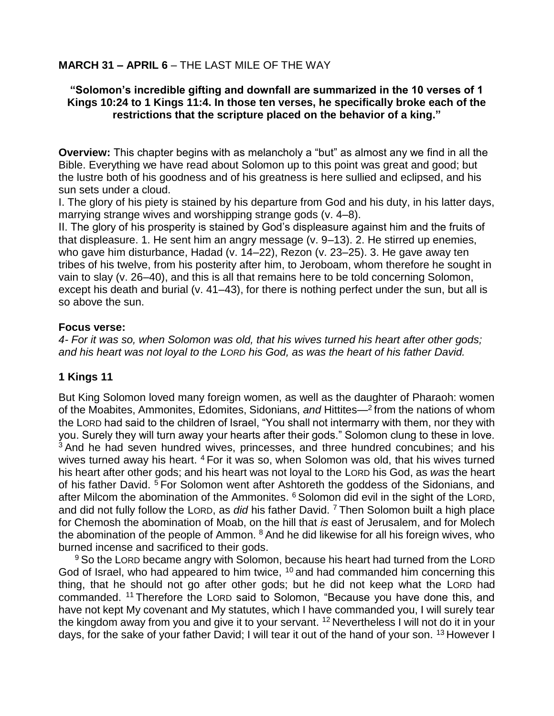### **MARCH 31 – APRIL 6** – THE LAST MILE OF THE WAY

### **"Solomon's incredible gifting and downfall are summarized in the 10 verses of 1 Kings 10:24 to 1 Kings 11:4. In those ten verses, he specifically broke each of the restrictions that the scripture placed on the behavior of a king."**

**Overview:** This chapter begins with as melancholy a "but" as almost any we find in all the Bible. Everything we have read about Solomon up to this point was great and good; but the lustre both of his goodness and of his greatness is here sullied and eclipsed, and his sun sets under a cloud.

I. The glory of his piety is stained by his departure from God and his duty, in his latter days, marrying strange wives and worshipping strange gods (v. 4–8).

II. The glory of his prosperity is stained by God's displeasure against him and the fruits of that displeasure. 1. He sent him an angry message (v. 9–13). 2. He stirred up enemies, who gave him disturbance, Hadad (v. 14–22), Rezon (v. 23–25). 3. He gave away ten tribes of his twelve, from his posterity after him, to Jeroboam, whom therefore he sought in vain to slay (v. 26–40), and this is all that remains here to be told concerning Solomon, except his death and burial (v. 41–43), for there is nothing perfect under the sun, but all is so above the sun.

### **Focus verse:**

*4- For it was so, when Solomon was old, that his wives turned his heart after other gods; and his heart was not loyal to the LORD his God, as was the heart of his father David.*

### **1 Kings 11**

But King Solomon loved many foreign women, as well as the daughter of Pharaoh: women of the Moabites, Ammonites, Edomites, Sidonians, *and* Hittites—<sup>2</sup> from the nations of whom the LORD had said to the children of Israel, "You shall not intermarry with them, nor they with you. Surely they will turn away your hearts after their gods." Solomon clung to these in love. <sup>3</sup> And he had seven hundred wives, princesses, and three hundred concubines; and his wives turned away his heart. <sup>4</sup> For it was so, when Solomon was old, that his wives turned his heart after other gods; and his heart was not loyal to the LORD his God, as *was* the heart of his father David. <sup>5</sup> For Solomon went after Ashtoreth the goddess of the Sidonians, and after Milcom the abomination of the Ammonites. <sup>6</sup> Solomon did evil in the sight of the LORD, and did not fully follow the LORD, as *did* his father David. <sup>7</sup> Then Solomon built a high place for Chemosh the abomination of Moab, on the hill that *is* east of Jerusalem, and for Molech the abomination of the people of Ammon.  $8$  And he did likewise for all his foreign wives, who burned incense and sacrificed to their gods.

<sup>9</sup> So the LORD became angry with Solomon, because his heart had turned from the LORD God of Israel, who had appeared to him twice, <sup>10</sup> and had commanded him concerning this thing, that he should not go after other gods; but he did not keep what the LORD had commanded. <sup>11</sup> Therefore the LORD said to Solomon, "Because you have done this, and have not kept My covenant and My statutes, which I have commanded you, I will surely tear the kingdom away from you and give it to your servant. <sup>12</sup> Nevertheless I will not do it in your days, for the sake of your father David; I will tear it out of the hand of your son. <sup>13</sup> However I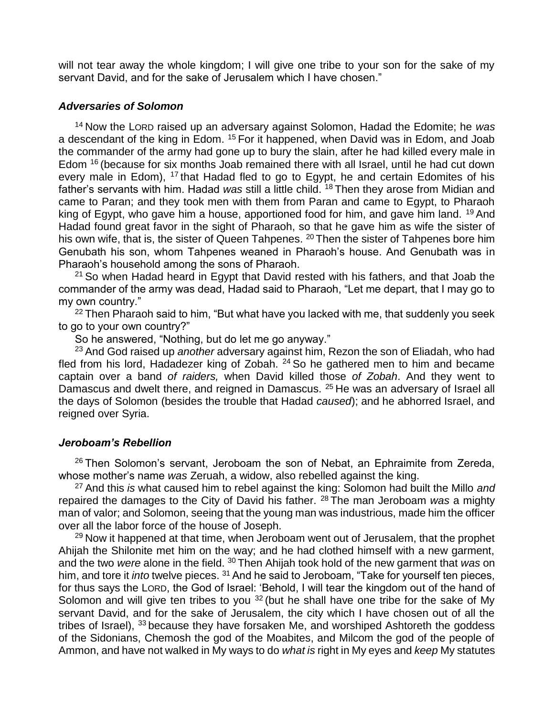will not tear away the whole kingdom; I will give one tribe to your son for the sake of my servant David, and for the sake of Jerusalem which I have chosen."

#### *Adversaries of Solomon*

<sup>14</sup> Now the LORD raised up an adversary against Solomon, Hadad the Edomite; he *was* a descendant of the king in Edom. <sup>15</sup> For it happened, when David was in Edom, and Joab the commander of the army had gone up to bury the slain, after he had killed every male in Edom <sup>16</sup> (because for six months Joab remained there with all Israel, until he had cut down every male in Edom), <sup>17</sup> that Hadad fled to go to Egypt, he and certain Edomites of his father's servants with him. Hadad *was* still a little child. <sup>18</sup> Then they arose from Midian and came to Paran; and they took men with them from Paran and came to Egypt, to Pharaoh king of Egypt, who gave him a house, apportioned food for him, and gave him land. <sup>19</sup> And Hadad found great favor in the sight of Pharaoh, so that he gave him as wife the sister of his own wife, that is, the sister of Queen Tahpenes. <sup>20</sup> Then the sister of Tahpenes bore him Genubath his son, whom Tahpenes weaned in Pharaoh's house. And Genubath was in Pharaoh's household among the sons of Pharaoh.

<sup>21</sup> So when Hadad heard in Egypt that David rested with his fathers, and that Joab the commander of the army was dead, Hadad said to Pharaoh, "Let me depart, that I may go to my own country."

 $22$  Then Pharaoh said to him, "But what have you lacked with me, that suddenly you seek to go to your own country?"

So he answered, "Nothing, but do let me go anyway."

<sup>23</sup> And God raised up *another* adversary against him, Rezon the son of Eliadah, who had fled from his lord, Hadadezer king of Zobah. <sup>24</sup> So he gathered men to him and became captain over a band *of raiders,* when David killed those *of Zobah*. And they went to Damascus and dwelt there, and reigned in Damascus. <sup>25</sup> He was an adversary of Israel all the days of Solomon (besides the trouble that Hadad *caused*); and he abhorred Israel, and reigned over Syria.

#### *Jeroboam's Rebellion*

 $26$  Then Solomon's servant, Jeroboam the son of Nebat, an Ephraimite from Zereda, whose mother's name *was* Zeruah, a widow, also rebelled against the king.

<sup>27</sup> And this *is* what caused him to rebel against the king: Solomon had built the Millo *and* repaired the damages to the City of David his father. <sup>28</sup> The man Jeroboam *was* a mighty man of valor; and Solomon, seeing that the young man was industrious, made him the officer over all the labor force of the house of Joseph.

<sup>29</sup> Now it happened at that time, when Jeroboam went out of Jerusalem, that the prophet Ahijah the Shilonite met him on the way; and he had clothed himself with a new garment, and the two *were* alone in the field. <sup>30</sup> Then Ahijah took hold of the new garment that *was* on him, and tore it *into* twelve pieces. <sup>31</sup> And he said to Jeroboam, "Take for yourself ten pieces, for thus says the LORD, the God of Israel: 'Behold, I will tear the kingdom out of the hand of Solomon and will give ten tribes to you <sup>32</sup> (but he shall have one tribe for the sake of My servant David, and for the sake of Jerusalem, the city which I have chosen out of all the tribes of Israel),  $33$  because they have forsaken Me, and worshiped Ashtoreth the goddess of the Sidonians, Chemosh the god of the Moabites, and Milcom the god of the people of Ammon, and have not walked in My ways to do *what is* right in My eyes and *keep* My statutes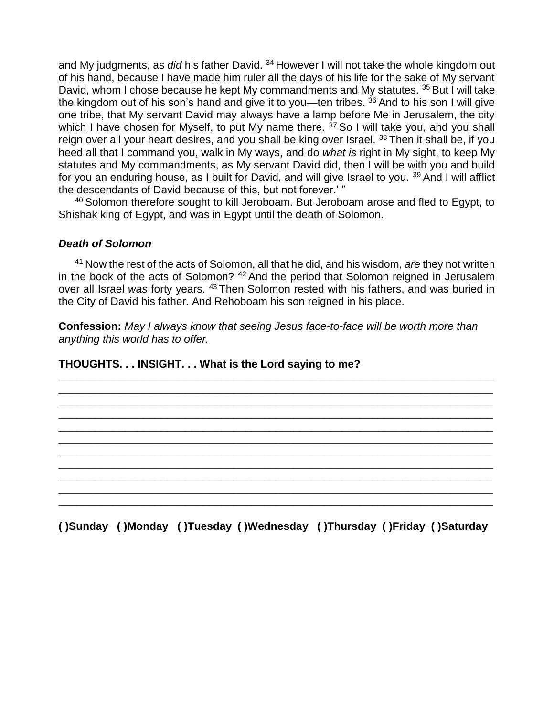and My judgments, as *did* his father David. <sup>34</sup> However I will not take the whole kingdom out of his hand, because I have made him ruler all the days of his life for the sake of My servant David, whom I chose because he kept My commandments and My statutes. <sup>35</sup> But I will take the kingdom out of his son's hand and give it to you—ten tribes.  $36$  And to his son I will give one tribe, that My servant David may always have a lamp before Me in Jerusalem, the city which I have chosen for Myself, to put My name there.  $37$  So I will take you, and you shall reign over all your heart desires, and you shall be king over Israel. <sup>38</sup> Then it shall be, if you heed all that I command you, walk in My ways, and do *what is* right in My sight, to keep My statutes and My commandments, as My servant David did, then I will be with you and build for you an enduring house, as I built for David, and will give Israel to you. <sup>39</sup> And I will afflict the descendants of David because of this, but not forever.' "

<sup>40</sup> Solomon therefore sought to kill Jeroboam. But Jeroboam arose and fled to Egypt, to Shishak king of Egypt, and was in Egypt until the death of Solomon.

#### *Death of Solomon*

<sup>41</sup> Now the rest of the acts of Solomon, all that he did, and his wisdom, *are* they not written in the book of the acts of Solomon? <sup>42</sup> And the period that Solomon reigned in Jerusalem over all Israel *was* forty years. <sup>43</sup> Then Solomon rested with his fathers, and was buried in the City of David his father. And Rehoboam his son reigned in his place.

**Confession:** *May I always know that seeing Jesus face-to-face will be worth more than anything this world has to offer.*

**\_\_\_\_\_\_\_\_\_\_\_\_\_\_\_\_\_\_\_\_\_\_\_\_\_\_\_\_\_\_\_\_\_\_\_\_\_\_\_\_\_\_\_\_\_\_\_\_\_\_\_\_\_\_\_\_\_\_\_\_\_\_\_\_\_\_\_\_\_\_\_\_ \_\_\_\_\_\_\_\_\_\_\_\_\_\_\_\_\_\_\_\_\_\_\_\_\_\_\_\_\_\_\_\_\_\_\_\_\_\_\_\_\_\_\_\_\_\_\_\_\_\_\_\_\_\_\_\_\_\_\_\_\_\_\_\_\_\_\_\_\_\_\_\_ \_\_\_\_\_\_\_\_\_\_\_\_\_\_\_\_\_\_\_\_\_\_\_\_\_\_\_\_\_\_\_\_\_\_\_\_\_\_\_\_\_\_\_\_\_\_\_\_\_\_\_\_\_\_\_\_\_\_\_\_\_\_\_\_\_\_\_\_\_\_\_\_ \_\_\_\_\_\_\_\_\_\_\_\_\_\_\_\_\_\_\_\_\_\_\_\_\_\_\_\_\_\_\_\_\_\_\_\_\_\_\_\_\_\_\_\_\_\_\_\_\_\_\_\_\_\_\_\_\_\_\_\_\_\_\_\_\_\_\_\_\_\_\_\_ \_\_\_\_\_\_\_\_\_\_\_\_\_\_\_\_\_\_\_\_\_\_\_\_\_\_\_\_\_\_\_\_\_\_\_\_\_\_\_\_\_\_\_\_\_\_\_\_\_\_\_\_\_\_\_\_\_\_\_\_\_\_\_\_\_\_\_\_\_\_\_\_ \_\_\_\_\_\_\_\_\_\_\_\_\_\_\_\_\_\_\_\_\_\_\_\_\_\_\_\_\_\_\_\_\_\_\_\_\_\_\_\_\_\_\_\_\_\_\_\_\_\_\_\_\_\_\_\_\_\_\_\_\_\_\_\_\_\_\_\_\_\_\_\_ \_\_\_\_\_\_\_\_\_\_\_\_\_\_\_\_\_\_\_\_\_\_\_\_\_\_\_\_\_\_\_\_\_\_\_\_\_\_\_\_\_\_\_\_\_\_\_\_\_\_\_\_\_\_\_\_\_\_\_\_\_\_\_\_\_\_\_\_\_\_\_\_ \_\_\_\_\_\_\_\_\_\_\_\_\_\_\_\_\_\_\_\_\_\_\_\_\_\_\_\_\_\_\_\_\_\_\_\_\_\_\_\_\_\_\_\_\_\_\_\_\_\_\_\_\_\_\_\_\_\_\_\_\_\_\_\_\_\_\_\_\_\_\_\_ \_\_\_\_\_\_\_\_\_\_\_\_\_\_\_\_\_\_\_\_\_\_\_\_\_\_\_\_\_\_\_\_\_\_\_\_\_\_\_\_\_\_\_\_\_\_\_\_\_\_\_\_\_\_\_\_\_\_\_\_\_\_\_\_\_\_\_\_\_\_\_\_ \_\_\_\_\_\_\_\_\_\_\_\_\_\_\_\_\_\_\_\_\_\_\_\_\_\_\_\_\_\_\_\_\_\_\_\_\_\_\_\_\_\_\_\_\_\_\_\_\_\_\_\_\_\_\_\_\_\_\_\_\_\_\_\_\_\_\_\_\_\_\_\_ \_\_\_\_\_\_\_\_\_\_\_\_\_\_\_\_\_\_\_\_\_\_\_\_\_\_\_\_\_\_\_\_\_\_\_\_\_\_\_\_\_\_\_\_\_\_\_\_\_\_\_\_\_\_\_\_\_\_\_\_\_\_\_\_\_\_\_\_\_\_\_\_**

**THOUGHTS. . . INSIGHT. . . What is the Lord saying to me?**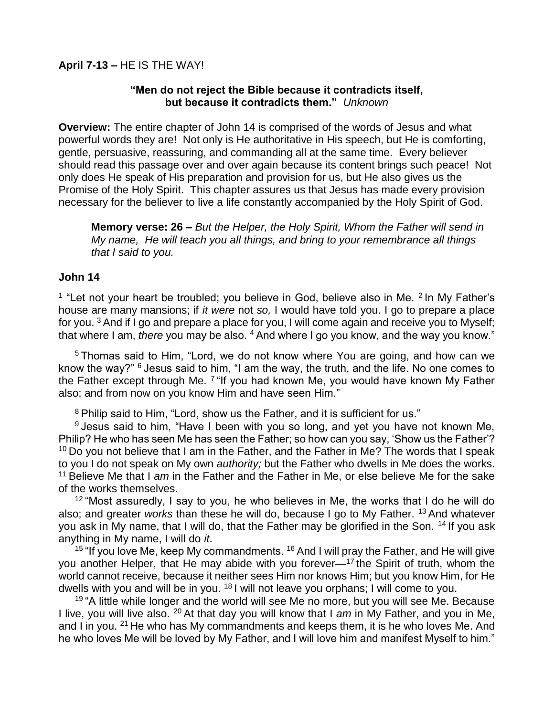### **"Men do not reject the Bible because it contradicts itself, but because it contradicts them."** *Unknown*

**Overview:** The entire chapter of John 14 is comprised of the words of Jesus and what powerful words they are! Not only is He authoritative in His speech, but He is comforting, gentle, persuasive, reassuring, and commanding all at the same time. Every believer should read this passage over and over again because its content brings such peace! Not only does He speak of His preparation and provision for us, but He also gives us the Promise of the Holy Spirit. This chapter assures us that Jesus has made every provision necessary for the believer to live a life constantly accompanied by the Holy Spirit of God.

**Memory verse: 26 –** *But the Helper, the Holy Spirit, Whom the Father will send in My name, He will teach you all things, and bring to your remembrance all things that I said to you.*

### **John 14**

<sup>1</sup> "Let not your heart be troubled; you believe in God, believe also in Me. <sup>2</sup> In My Father's house are many mansions; if *it were* not *so,* I would have told you. I go to prepare a place for you.  $3$  And if I go and prepare a place for you, I will come again and receive you to Myself; that where I am, *there* you may be also. <sup>4</sup> And where I go you know, and the way you know."

<sup>5</sup> Thomas said to Him, "Lord, we do not know where You are going, and how can we know the way?" <sup>6</sup> Jesus said to him, "I am the way, the truth, and the life. No one comes to the Father except through Me. <sup>7</sup> "If you had known Me, you would have known My Father also; and from now on you know Him and have seen Him."

<sup>8</sup> Philip said to Him, "Lord, show us the Father, and it is sufficient for us."

 $9$  Jesus said to him, "Have I been with you so long, and yet you have not known Me, Philip? He who has seen Me has seen the Father; so how can you say, 'Show us the Father'?  $10$  Do you not believe that I am in the Father, and the Father in Me? The words that I speak to you I do not speak on My own *authority;* but the Father who dwells in Me does the works. <sup>11</sup> Believe Me that I *am* in the Father and the Father in Me, or else believe Me for the sake of the works themselves.

 $12$  "Most assuredly, I say to you, he who believes in Me, the works that I do he will do also; and greater *works* than these he will do, because I go to My Father. <sup>13</sup> And whatever you ask in My name, that I will do, that the Father may be glorified in the Son. <sup>14</sup> If you ask anything in My name, I will do *it*.

<sup>15 "</sup>If you love Me, keep My commandments. <sup>16</sup> And I will pray the Father, and He will give you another Helper, that He may abide with you forever—<sup>17</sup> the Spirit of truth, whom the world cannot receive, because it neither sees Him nor knows Him; but you know Him, for He dwells with you and will be in you. <sup>18</sup> I will not leave you orphans; I will come to you.

 $19$  "A little while longer and the world will see Me no more, but you will see Me. Because I live, you will live also. <sup>20</sup> At that day you will know that I *am* in My Father, and you in Me, and I in you.  $21$  He who has My commandments and keeps them, it is he who loves Me. And he who loves Me will be loved by My Father, and I will love him and manifest Myself to him."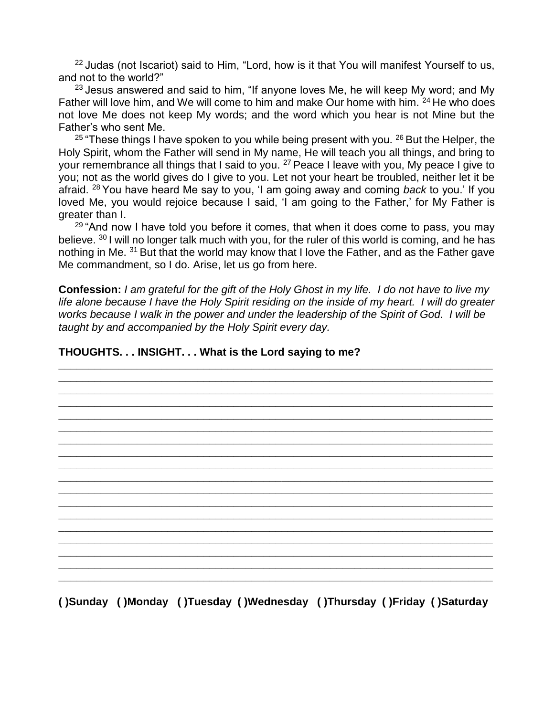$22$  Judas (not Iscariot) said to Him, "Lord, how is it that You will manifest Yourself to us, and not to the world?"

 $23$  Jesus answered and said to him, "If anyone loves Me, he will keep My word: and My Father will love him, and We will come to him and make Our home with him. <sup>24</sup> He who does not love Me does not keep My words; and the word which you hear is not Mine but the Father's who sent Me.

<sup>25</sup> "These things I have spoken to you while being present with you. <sup>26</sup> But the Helper, the Holy Spirit, whom the Father will send in My name, He will teach you all things, and bring to your remembrance all things that I said to you. <sup>27</sup> Peace I leave with you, My peace I give to you; not as the world gives do I give to you. Let not your heart be troubled, neither let it be afraid. <sup>28</sup> You have heard Me say to you, 'I am going away and coming *back* to you.' If you loved Me, you would rejoice because I said, 'I am going to the Father,' for My Father is greater than I.

<sup>29</sup> "And now I have told you before it comes, that when it does come to pass, you may believe. <sup>30</sup> I will no longer talk much with you, for the ruler of this world is coming, and he has nothing in Me. <sup>31</sup> But that the world may know that I love the Father, and as the Father gave Me commandment, so I do. Arise, let us go from here.

**Confession:** *I am grateful for the gift of the Holy Ghost in my life. I do not have to live my life alone because I have the Holy Spirit residing on the inside of my heart. I will do greater works because I walk in the power and under the leadership of the Spirit of God. I will be taught by and accompanied by the Holy Spirit every day.*

**\_\_\_\_\_\_\_\_\_\_\_\_\_\_\_\_\_\_\_\_\_\_\_\_\_\_\_\_\_\_\_\_\_\_\_\_\_\_\_\_\_\_\_\_\_\_\_\_\_\_\_\_\_\_\_\_\_\_\_\_\_\_\_\_\_\_\_\_\_\_\_\_ \_\_\_\_\_\_\_\_\_\_\_\_\_\_\_\_\_\_\_\_\_\_\_\_\_\_\_\_\_\_\_\_\_\_\_\_\_\_\_\_\_\_\_\_\_\_\_\_\_\_\_\_\_\_\_\_\_\_\_\_\_\_\_\_\_\_\_\_\_\_\_\_** 

#### **THOUGHTS. . . INSIGHT. . . What is the Lord saying to me?**

**( )Sunday ( )Monday ( )Tuesday ( )Wednesday ( )Thursday ( )Friday ( )Saturday**

**\_\_\_\_\_\_\_\_\_\_\_\_\_\_\_\_\_\_\_\_\_\_\_\_\_\_\_\_\_\_\_\_\_\_\_\_\_\_\_\_\_\_\_\_\_\_\_\_\_\_\_\_\_\_\_\_\_\_\_\_\_\_\_\_\_\_\_\_\_\_\_\_ \_\_\_\_\_\_\_\_\_\_\_\_\_\_\_\_\_\_\_\_\_\_\_\_\_\_\_\_\_\_\_\_\_\_\_\_\_\_\_\_\_\_\_\_\_\_\_\_\_\_\_\_\_\_\_\_\_\_\_\_\_\_\_\_\_\_\_\_\_\_\_\_ \_\_\_\_\_\_\_\_\_\_\_\_\_\_\_\_\_\_\_\_\_\_\_\_\_\_\_\_\_\_\_\_\_\_\_\_\_\_\_\_\_\_\_\_\_\_\_\_\_\_\_\_\_\_\_\_\_\_\_\_\_\_\_\_\_\_\_\_\_\_\_\_ \_\_\_\_\_\_\_\_\_\_\_\_\_\_\_\_\_\_\_\_\_\_\_\_\_\_\_\_\_\_\_\_\_\_\_\_\_\_\_\_\_\_\_\_\_\_\_\_\_\_\_\_\_\_\_\_\_\_\_\_\_\_\_\_\_\_\_\_\_\_\_\_ \_\_\_\_\_\_\_\_\_\_\_\_\_\_\_\_\_\_\_\_\_\_\_\_\_\_\_\_\_\_\_\_\_\_\_\_\_\_\_\_\_\_\_\_\_\_\_\_\_\_\_\_\_\_\_\_\_\_\_\_\_\_\_\_\_\_\_\_\_\_\_\_ \_\_\_\_\_\_\_\_\_\_\_\_\_\_\_\_\_\_\_\_\_\_\_\_\_\_\_\_\_\_\_\_\_\_\_\_\_\_\_\_\_\_\_\_\_\_\_\_\_\_\_\_\_\_\_\_\_\_\_\_\_\_\_\_\_\_\_\_\_\_\_\_ \_\_\_\_\_\_\_\_\_\_\_\_\_\_\_\_\_\_\_\_\_\_\_\_\_\_\_\_\_\_\_\_\_\_\_\_\_\_\_\_\_\_\_\_\_\_\_\_\_\_\_\_\_\_\_\_\_\_\_\_\_\_\_\_\_\_\_\_\_\_\_\_ \_\_\_\_\_\_\_\_\_\_\_\_\_\_\_\_\_\_\_\_\_\_\_\_\_\_\_\_\_\_\_\_\_\_\_\_\_\_\_\_\_\_\_\_\_\_\_\_\_\_\_\_\_\_\_\_\_\_\_\_\_\_\_\_\_\_\_\_\_\_\_\_ \_\_\_\_\_\_\_\_\_\_\_\_\_\_\_\_\_\_\_\_\_\_\_\_\_\_\_\_\_\_\_\_\_\_\_\_\_\_\_\_\_\_\_\_\_\_\_\_\_\_\_\_\_\_\_\_\_\_\_\_\_\_\_\_\_\_\_\_\_\_\_\_ \_\_\_\_\_\_\_\_\_\_\_\_\_\_\_\_\_\_\_\_\_\_\_\_\_\_\_\_\_\_\_\_\_\_\_\_\_\_\_\_\_\_\_\_\_\_\_\_\_\_\_\_\_\_\_\_\_\_\_\_\_\_\_\_\_\_\_\_\_\_\_\_ \_\_\_\_\_\_\_\_\_\_\_\_\_\_\_\_\_\_\_\_\_\_\_\_\_\_\_\_\_\_\_\_\_\_\_\_\_\_\_\_\_\_\_\_\_\_\_\_\_\_\_\_\_\_\_\_\_\_\_\_\_\_\_\_\_\_\_\_\_\_\_\_ \_\_\_\_\_\_\_\_\_\_\_\_\_\_\_\_\_\_\_\_\_\_\_\_\_\_\_\_\_\_\_\_\_\_\_\_\_\_\_\_\_\_\_\_\_\_\_\_\_\_\_\_\_\_\_\_\_\_\_\_\_\_\_\_\_\_\_\_\_\_\_\_ \_\_\_\_\_\_\_\_\_\_\_\_\_\_\_\_\_\_\_\_\_\_\_\_\_\_\_\_\_\_\_\_\_\_\_\_\_\_\_\_\_\_\_\_\_\_\_\_\_\_\_\_\_\_\_\_\_\_\_\_\_\_\_\_\_\_\_\_\_\_\_\_ \_\_\_\_\_\_\_\_\_\_\_\_\_\_\_\_\_\_\_\_\_\_\_\_\_\_\_\_\_\_\_\_\_\_\_\_\_\_\_\_\_\_\_\_\_\_\_\_\_\_\_\_\_\_\_\_\_\_\_\_\_\_\_\_\_\_\_\_\_\_\_\_ \_\_\_\_\_\_\_\_\_\_\_\_\_\_\_\_\_\_\_\_\_\_\_\_\_\_\_\_\_\_\_\_\_\_\_\_\_\_\_\_\_\_\_\_\_\_\_\_\_\_\_\_\_\_\_\_\_\_\_\_\_\_\_\_\_\_\_\_\_\_\_\_**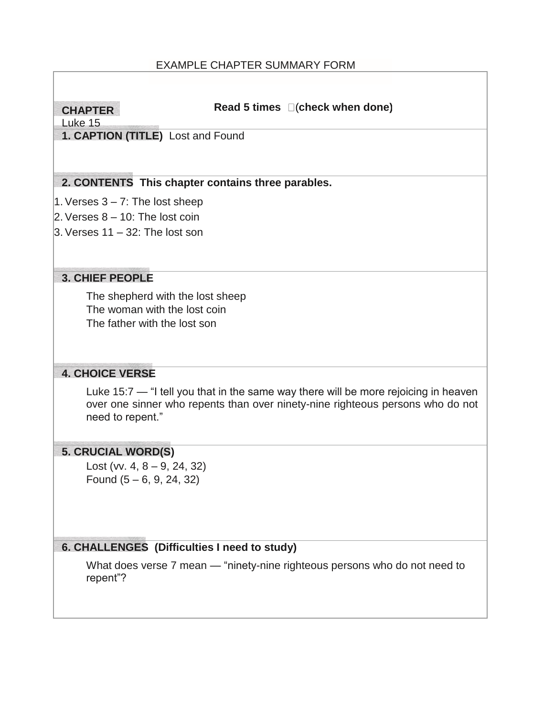### EXAMPLE CHAPTER SUMMARY FORM

### **CHAPTER**

#### **Read 5 times** (**check when done)**

Luke 15

**1. CAPTION (TITLE)** Lost and Found

### **2. CONTENTS This chapter contains three parables.**

- 1. Verses  $3 7$ : The lost sheep
- 2. Verses  $8 10$ : The lost coin
- $3.$  Verses 11 32: The lost son

#### **3. CHIEF PEOPLE**

The shepherd with the lost sheep The woman with the lost coin The father with the lost son

### **4. CHOICE VERSE**

Luke 15:7 — "I tell you that in the same way there will be more rejoicing in heaven over one sinner who repents than over ninety-nine righteous persons who do not need to repent."

### **5. CRUCIAL WORD(S)**

Lost (vv.  $4, 8 - 9, 24, 32$ ) Found (5 – 6, 9, 24, 32)

### **6. CHALLENGES (Difficulties I need to study)**

What does verse 7 mean — "ninety-nine righteous persons who do not need to repent"?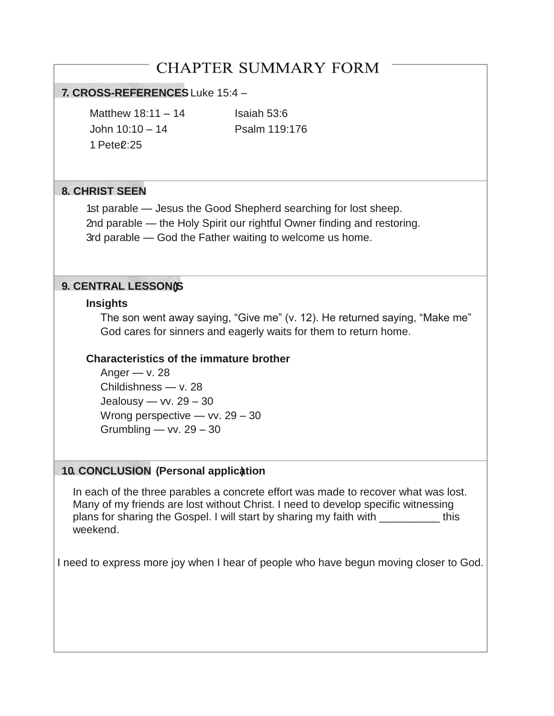# **CHAPTER SUMMARY FORM**

### **7. CROSS-REFERENCES** Luke 15:4 –

Matthew  $18:11 - 14$  Isaiah 53:6 John 10:10 – 14 Psalm 119:176 1 Pete<sup>2:25</sup>

### **8. CHRIST SEEN**

1st parable — Jesus the Good Shepherd searching for lost sheep. 2nd parable — the Holy Spirit our rightful Owner finding and restoring. 3rd parable — God the Father waiting to welcome us home.

### **9. CENTRAL LESSON(S)**

### **Insights**

The son went away saying, "Give me" (v. 12). He returned saying, "Make me" God cares for sinners and eagerly waits for them to return home.

### **Characteristics of the immature brother**

Anger  $-$  v. 28 Childishness — v. 28 Jealousy —  $vv. 29 - 30$ Wrong perspective — vv. 29 - 30 Grumbling — vv.  $29 - 30$ 

### **10. CONCLUSION (Personal application )**

In each of the three parables a concrete effort was made to recover what was lost. Many of my friends are lost without Christ. I need to develop specific witnessing plans for sharing the Gospel. I will start by sharing my faith with \_\_\_\_\_\_\_\_\_\_ this weekend.

I need to express more joy when I hear of people who have begun moving closer to God.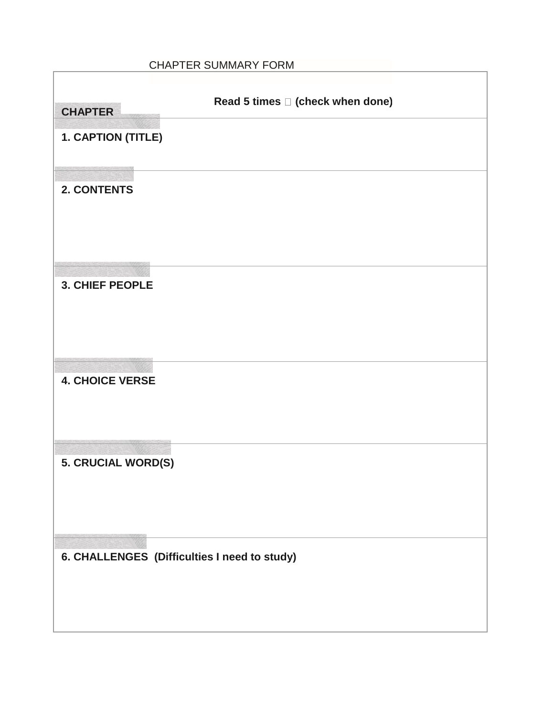### CHAPTER SUMMARY FORM

 $\Gamma$ 

Ī.

| Read 5 times $\square$ (check when done)<br><b>CHAPTER</b> |
|------------------------------------------------------------|
| 1. CAPTION (TITLE)                                         |
| 2. CONTENTS                                                |
| <b>3. CHIEF PEOPLE</b>                                     |
| <b>4. CHOICE VERSE</b>                                     |
| 5. CRUCIAL WORD(S)                                         |
| 6. CHALLENGES (Difficulties I need to study)               |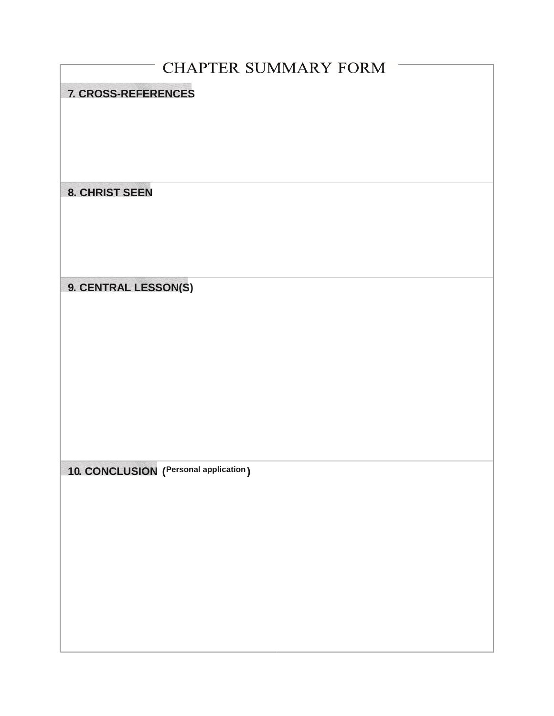| <b>CHAPTER SUMMARY FORM</b><br><b>7. CROSS-REFERENCES</b><br><b>8. CHRIST SEEN</b><br>9. CENTRAL LESSON(S) |
|------------------------------------------------------------------------------------------------------------|
|                                                                                                            |
|                                                                                                            |
|                                                                                                            |
|                                                                                                            |
|                                                                                                            |
|                                                                                                            |
|                                                                                                            |
|                                                                                                            |
|                                                                                                            |
|                                                                                                            |
|                                                                                                            |
|                                                                                                            |
|                                                                                                            |
|                                                                                                            |
|                                                                                                            |
|                                                                                                            |
|                                                                                                            |
|                                                                                                            |
|                                                                                                            |
|                                                                                                            |
|                                                                                                            |
|                                                                                                            |
|                                                                                                            |
| 10. CONCLUSION (Personal application)                                                                      |
|                                                                                                            |
|                                                                                                            |
|                                                                                                            |
|                                                                                                            |
|                                                                                                            |
|                                                                                                            |
|                                                                                                            |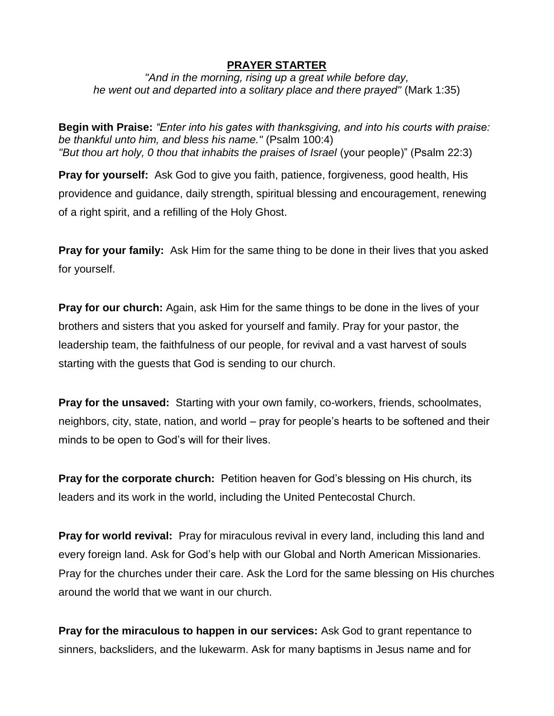### **PRAYER STARTER**

*"And in the morning, rising up a great while before day, he went out and departed into a solitary place and there prayed"* (Mark 1:35)

**Begin with Praise:** *"Enter into his gates with thanksgiving, and into his courts with praise: be thankful unto him, and bless his name."* (Psalm 100:4) *"But thou art holy, 0 thou that inhabits the praises of Israel* (your people)" (Psalm 22:3)

**Pray for yourself:** Ask God to give you faith, patience, forgiveness, good health, His providence and guidance, daily strength, spiritual blessing and encouragement, renewing of a right spirit, and a refilling of the Holy Ghost.

**Pray for your family:** Ask Him for the same thing to be done in their lives that you asked for yourself.

**Pray for our church:** Again, ask Him for the same things to be done in the lives of your brothers and sisters that you asked for yourself and family. Pray for your pastor, the leadership team, the faithfulness of our people, for revival and a vast harvest of souls starting with the guests that God is sending to our church.

**Pray for the unsaved:** Starting with your own family, co-workers, friends, schoolmates, neighbors, city, state, nation, and world – pray for people's hearts to be softened and their minds to be open to God's will for their lives.

**Pray for the corporate church:** Petition heaven for God's blessing on His church, its leaders and its work in the world, including the United Pentecostal Church.

**Pray for world revival:** Pray for miraculous revival in every land, including this land and every foreign land. Ask for God's help with our Global and North American Missionaries. Pray for the churches under their care. Ask the Lord for the same blessing on His churches around the world that we want in our church.

**Pray for the miraculous to happen in our services:** Ask God to grant repentance to sinners, backsliders, and the lukewarm. Ask for many baptisms in Jesus name and for